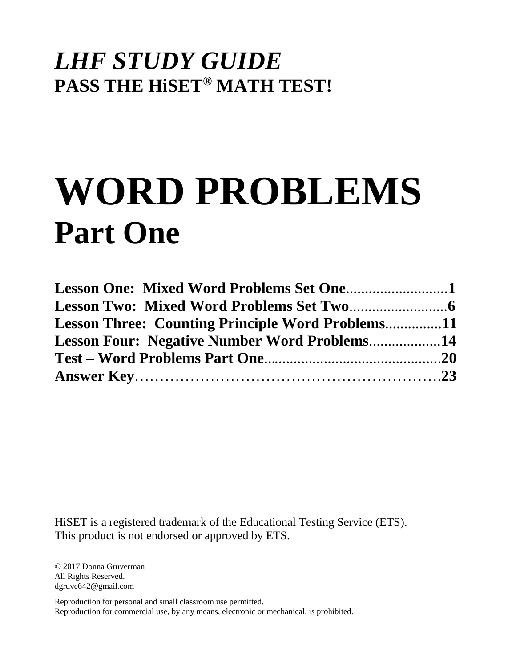# *LHF STUDY GUIDE*  **PASS THE HiSET® MATH TEST!**

# **WORD PROBLEMS Part One**

| <b>Lesson Three: Counting Principle Word Problems11</b> |  |
|---------------------------------------------------------|--|
| <b>Lesson Four: Negative Number Word Problems14</b>     |  |
|                                                         |  |
|                                                         |  |

HiSET is a registered trademark of the Educational Testing Service (ETS). This product is not endorsed or approved by ETS.

© 2017 Donna Gruverman All Rights Reserved. dgruve642@gmail.com

Reproduction for personal and small classroom use permitted. Reproduction for commercial use, by any means, electronic or mechanical, is prohibited.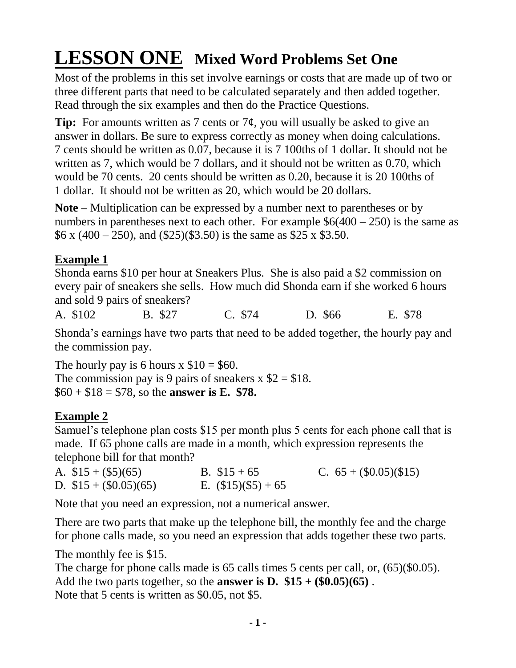# **LESSON ONE Mixed Word Problems Set One**

Most of the problems in this set involve earnings or costs that are made up of two or three different parts that need to be calculated separately and then added together. Read through the six examples and then do the Practice Questions.

**Tip:** For amounts written as 7 cents or  $7¢$ , you will usually be asked to give an answer in dollars. Be sure to express correctly as money when doing calculations. 7 cents should be written as 0.07, because it is 7 100ths of 1 dollar. It should not be written as 7, which would be 7 dollars, and it should not be written as 0.70, which would be 70 cents. 20 cents should be written as 0.20, because it is 20 100ths of 1 dollar. It should not be written as 20, which would be 20 dollars.

**Note –** Multiplication can be expressed by a number next to parentheses or by numbers in parentheses next to each other. For example  $$6(400 - 250)$  is the same as  $$6 \times (400 - 250)$ , and  $$25)(\$3.50)$  is the same as \$25 x \$3.50.

### **Example 1**

Shonda earns \$10 per hour at Sneakers Plus. She is also paid a \$2 commission on every pair of sneakers she sells. How much did Shonda earn if she worked 6 hours and sold 9 pairs of sneakers?

A. \$102 B. \$27 C. \$74 D. \$66 E. \$78

Shonda's earnings have two parts that need to be added together, the hourly pay and the commission pay.

The hourly pay is 6 hours  $x$  \$10 = \$60. The commission pay is 9 pairs of sneakers  $x$  \$2 = \$18. \$60 + \$18 = \$78, so the **answer is E. \$78.**

## **Example 2**

Samuel's telephone plan costs \$15 per month plus 5 cents for each phone call that is made. If 65 phone calls are made in a month, which expression represents the telephone bill for that month?

| A. $$15 + ($5)(65)$    | B. $$15 + 65$         | C. $65 + (\$0.05)(\$15)$ |
|------------------------|-----------------------|--------------------------|
| D. $$15 + ($0.05)(65)$ | E. $(\$15)(\$5) + 65$ |                          |

Note that you need an expression, not a numerical answer.

There are two parts that make up the telephone bill, the monthly fee and the charge for phone calls made, so you need an expression that adds together these two parts.

The monthly fee is \$15.

The charge for phone calls made is 65 calls times 5 cents per call, or,  $(65)(\$0.05)$ . Add the two parts together, so the **answer is D.**  $$15 + ($0.05)(65)$ . Note that 5 cents is written as \$0.05, not \$5.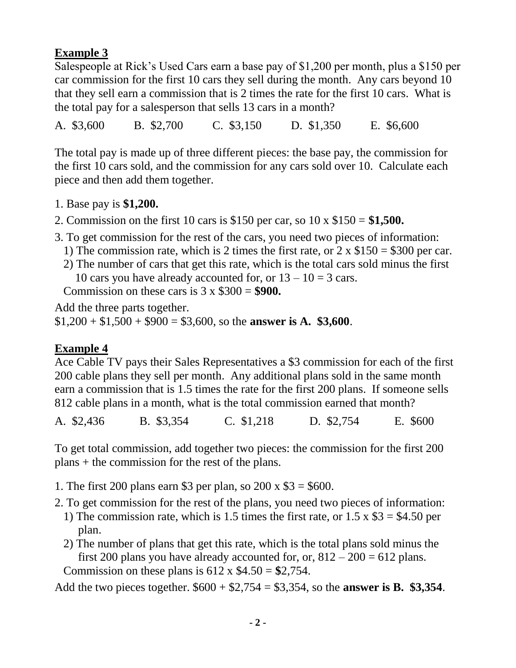#### **Example 3**

Salespeople at Rick's Used Cars earn a base pay of \$1,200 per month, plus a \$150 per car commission for the first 10 cars they sell during the month. Any cars beyond 10 that they sell earn a commission that is 2 times the rate for the first 10 cars. What is the total pay for a salesperson that sells 13 cars in a month?

A. \$3,600 B. \$2,700 C. \$3,150 D. \$1,350 E. \$6,600

The total pay is made up of three different pieces: the base pay, the commission for the first 10 cars sold, and the commission for any cars sold over 10. Calculate each piece and then add them together.

- 1. Base pay is **\$1,200.**
- 2. Commission on the first 10 cars is \$150 per car, so 10 x \$150 = **\$1,500.**
- 3. To get commission for the rest of the cars, you need two pieces of information:
	- 1) The commission rate, which is 2 times the first rate, or  $2 \times \$150 = \$300$  per car.
	- 2) The number of cars that get this rate, which is the total cars sold minus the first 10 cars you have already accounted for, or  $13 - 10 = 3$  cars.

Commission on these cars is 3 x \$300 = **\$900.**

Add the three parts together.

 $$1,200 + $1,500 + $900 = $3,600$ , so the **answer is A.** \$3,600.

#### **Example 4**

Ace Cable TV pays their Sales Representatives a \$3 commission for each of the first 200 cable plans they sell per month. Any additional plans sold in the same month earn a commission that is 1.5 times the rate for the first 200 plans. If someone sells 812 cable plans in a month, what is the total commission earned that month?

A. \$2,436 B. \$3,354 C. \$1,218 D. \$2,754 E. \$600

To get total commission, add together two pieces: the commission for the first 200 plans + the commission for the rest of the plans.

- 1. The first 200 plans earn \$3 per plan, so 200 x \$3 = \$600.
- 2. To get commission for the rest of the plans, you need two pieces of information:
	- 1) The commission rate, which is 1.5 times the first rate, or  $1.5 \times $3 = $4.50$  per plan.
	- 2) The number of plans that get this rate, which is the total plans sold minus the first 200 plans you have already accounted for, or,  $812 - 200 = 612$  plans. Commission on these plans is  $612 \times $4.50 = $2.754$ .

Add the two pieces together. \$600 + \$2,754 = \$3,354, so the **answer is B. \$3,354**.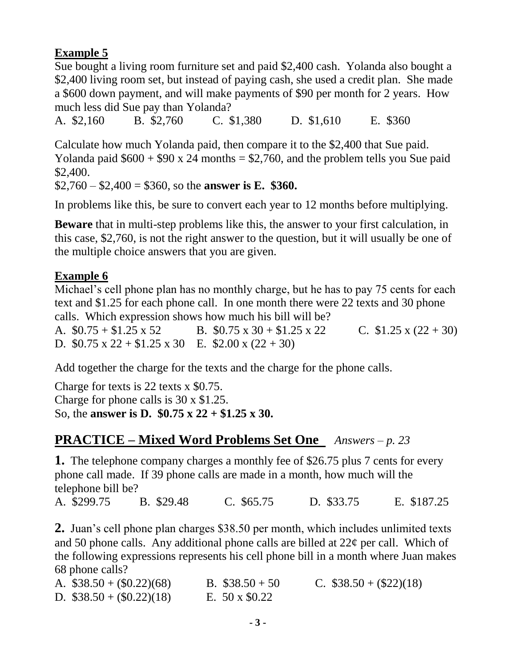#### **Example 5**

Sue bought a living room furniture set and paid \$2,400 cash. Yolanda also bought a \$2,400 living room set, but instead of paying cash, she used a credit plan. She made a \$600 down payment, and will make payments of \$90 per month for 2 years. How much less did Sue pay than Yolanda?

A. \$2,160 B. \$2,760 C. \$1,380 D. \$1,610 E. \$360

Calculate how much Yolanda paid, then compare it to the \$2,400 that Sue paid. Yolanda paid  $$600 + $90 \times 24$  months  $= $2,760$ , and the problem tells you Sue paid \$2,400.

\$2,760 – \$2,400 = \$360, so the **answer is E. \$360.**

In problems like this, be sure to convert each year to 12 months before multiplying.

**Beware** that in multi-step problems like this, the answer to your first calculation, in this case, \$2,760, is not the right answer to the question, but it will usually be one of the multiple choice answers that you are given.

#### **Example 6**

Michael's cell phone plan has no monthly charge, but he has to pay 75 cents for each text and \$1.25 for each phone call. In one month there were 22 texts and 30 phone calls. Which expression shows how much his bill will be?

A.  $$0.75 + $1.25 \times 52$  B.  $$0.75 \times 30 + $1.25 \times 22$  C.  $$1.25 \times (22 + 30)$ D.  $$0.75 \times 22 + $1.25 \times 30$  E.  $$2.00 \times (22 + 30)$ 

Add together the charge for the texts and the charge for the phone calls.

Charge for texts is 22 texts x \$0.75. Charge for phone calls is 30 x \$1.25. So, the **answer is D. \$0.75 x 22 + \$1.25 x 30.**

#### **PRACTICE – Mixed Word Problems Set One** *Answers – p. 23*

**1.** The telephone company charges a monthly fee of \$26.75 plus 7 cents for every phone call made. If 39 phone calls are made in a month, how much will the telephone bill be?

A. \$299.75 B. \$29.48 C. \$65.75 D. \$33.75 E. \$187.25

**2.** Juan's cell phone plan charges \$38.50 per month, which includes unlimited texts and 50 phone calls. Any additional phone calls are billed at  $22¢$  per call. Which of the following expressions represents his cell phone bill in a month where Juan makes 68 phone calls?

| A. $$38.50 + (\$0.22)(68)$ | B. $$38.50 + 50$     | C. $$38.50 + ($22)(18)$ |
|----------------------------|----------------------|-------------------------|
| D. $$38.50 + (0.22)(18)$   | E. $50 \times $0.22$ |                         |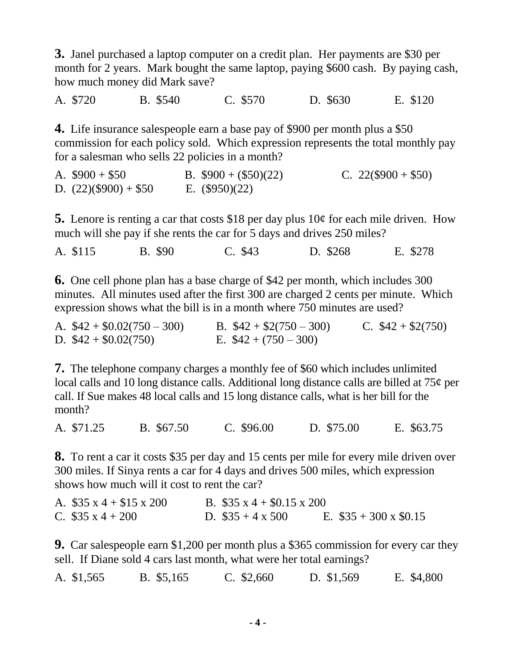**3.** Janel purchased a laptop computer on a credit plan. Her payments are \$30 per month for 2 years. Mark bought the same laptop, paying \$600 cash. By paying cash, how much money did Mark save?

A. \$720 B. \$540 C. \$570 D. \$630 E. \$120

**4.** Life insurance salespeople earn a base pay of \$900 per month plus a \$50 commission for each policy sold. Which expression represents the total monthly pay for a salesman who sells 22 policies in a month?

A.  $$900 + $50$  B.  $$900 + ($50)(22)$  C.  $22 ($900 + $50)$ D.  $(22)(\$900) + \$50$  E.  $(\$950)(22)$ 

**5.** Lenore is renting a car that costs \$18 per day plus 10¢ for each mile driven. How much will she pay if she rents the car for 5 days and drives 250 miles?

A. \$115 B. \$90 C. \$43 D. \$268 E. \$278

**6.** One cell phone plan has a base charge of \$42 per month, which includes 300 minutes. All minutes used after the first 300 are charged 2 cents per minute. Which expression shows what the bill is in a month where 750 minutes are used?

| A. $$42 + $0.02(750 - 300)$ | B. $$42 + $2(750 - 300)$ | C. $$42 + $2(750)$ |
|-----------------------------|--------------------------|--------------------|
| D. $$42 + $0.02(750)$       | E. $$42 + (750 - 300)$   |                    |

**7.** The telephone company charges a monthly fee of \$60 which includes unlimited local calls and 10 long distance calls. Additional long distance calls are billed at 75¢ per call. If Sue makes 48 local calls and 15 long distance calls, what is her bill for the month?

A. \$71.25 B. \$67.50 C. \$96.00 D. \$75.00 E. \$63.75

**8.** To rent a car it costs \$35 per day and 15 cents per mile for every mile driven over 300 miles. If Sinya rents a car for 4 days and drives 500 miles, which expression shows how much will it cost to rent the car?

| A. $$35 \times 4 + $15 \times 200$ | B. $$35 \times 4 + $0.15 \times 200$ |                             |
|------------------------------------|--------------------------------------|-----------------------------|
| C. $$35 \times 4 + 200$            | D. $\$35 + 4 \times 500$             | E. $$35 + 300 \times $0.15$ |

**9.** Car salespeople earn \$1,200 per month plus a \$365 commission for every car they sell. If Diane sold 4 cars last month, what were her total earnings?

|  | A. \$1,565 | B. \$5,165 | $C.$ \$2,660 | D. \$1,569 | E. \$4,800 |
|--|------------|------------|--------------|------------|------------|
|--|------------|------------|--------------|------------|------------|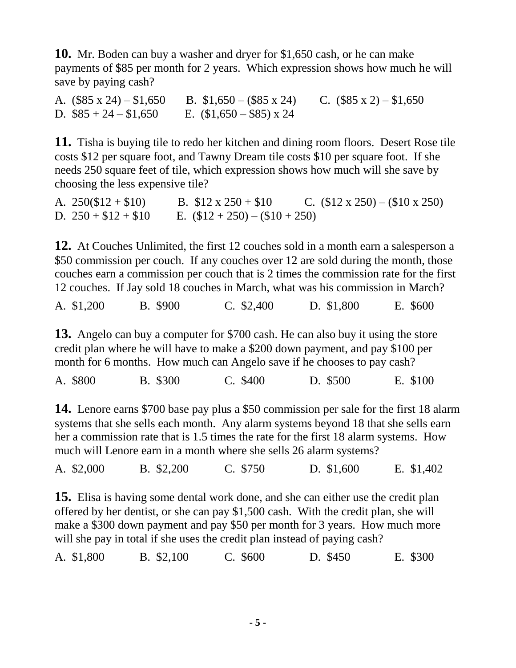**10.** Mr. Boden can buy a washer and dryer for \$1,650 cash, or he can make payments of \$85 per month for 2 years. Which expression shows how much he will save by paying cash?

A.  $(\$85 \times 24) - \$1,650$  B.  $\$1,650 - (\$85 \times 24)$  C.  $(\$85 \times 2) - \$1,650$ D.  $$85 + 24 - $1,650$  E.  $$1,650 - $85$  x 24

**11.** Tisha is buying tile to redo her kitchen and dining room floors. Desert Rose tile costs \$12 per square foot, and Tawny Dream tile costs \$10 per square foot. If she needs 250 square feet of tile, which expression shows how much will she save by choosing the less expensive tile?

A.  $250(\$12 + \$10)$  B.  $\$12 \times 250 + \$10$  C.  $(\$12 \times 250) - (\$10 \times 250)$ D.  $250 + $12 + $10$  E.  $($12 + 250) - ($10 + 250)$ 

**12.** At Couches Unlimited, the first 12 couches sold in a month earn a salesperson a \$50 commission per couch. If any couches over 12 are sold during the month, those couches earn a commission per couch that is 2 times the commission rate for the first 12 couches. If Jay sold 18 couches in March, what was his commission in March?

A. \$1,200 B. \$900 C. \$2,400 D. \$1,800 E. \$600

**13.** Angelo can buy a computer for \$700 cash. He can also buy it using the store credit plan where he will have to make a \$200 down payment, and pay \$100 per month for 6 months. How much can Angelo save if he chooses to pay cash?

A. \$800 B. \$300 C. \$400 D. \$500 E. \$100

**14.** Lenore earns \$700 base pay plus a \$50 commission per sale for the first 18 alarm systems that she sells each month. Any alarm systems beyond 18 that she sells earn her a commission rate that is 1.5 times the rate for the first 18 alarm systems. How much will Lenore earn in a month where she sells 26 alarm systems?

A. \$2,000 B. \$2,200 C. \$750 D. \$1,600 E. \$1,402

**15.** Elisa is having some dental work done, and she can either use the credit plan offered by her dentist, or she can pay \$1,500 cash. With the credit plan, she will make a \$300 down payment and pay \$50 per month for 3 years. How much more will she pay in total if she uses the credit plan instead of paying cash?

|  | A. \$1,800 | B. \$2,100 | $C.$ \$600 | D. \$450 | E. \$300 |
|--|------------|------------|------------|----------|----------|
|--|------------|------------|------------|----------|----------|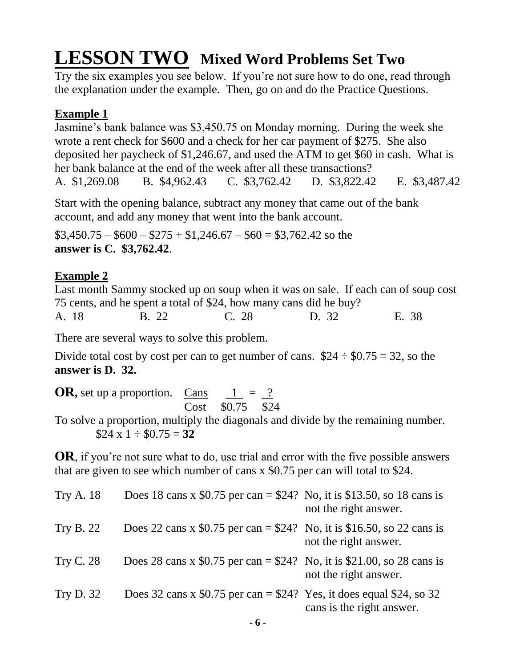# **LESSON TWO Mixed Word Problems Set Two**

Try the six examples you see below. If you're not sure how to do one, read through the explanation under the example. Then, go on and do the Practice Questions.

#### **Example 1**

Jasmine's bank balance was \$3,450.75 on Monday morning. During the week she wrote a rent check for \$600 and a check for her car payment of \$275. She also deposited her paycheck of \$1,246.67, and used the ATM to get \$60 in cash. What is her bank balance at the end of the week after all these transactions? A. \$1,269.08 B. \$4,962.43 C. \$3,762.42 D. \$3,822.42 E. \$3,487.42

Start with the opening balance, subtract any money that came out of the bank account, and add any money that went into the bank account.

 $$3,450.75 - $600 - $275 + $1,246.67 - $60 = $3,762.42$  so the **answer is C. \$3,762.42**.

### **Example 2**

Last month Sammy stocked up on soup when it was on sale. If each can of soup cost 75 cents, and he spent a total of \$24, how many cans did he buy? A. 18 B. 22 C. 28 D. 32 E. 38

There are several ways to solve this problem.

Divide total cost by cost per can to get number of cans.  $$24 \div $0.75 = 32$ , so the **answer is D. 32.**

**OR**, set up a proportion. Cans  $\frac{1}{2} = \frac{?}{?}$ Cost \$0.75 \$24

To solve a proportion, multiply the diagonals and divide by the remaining number.  $$24 \times 1 \div $0.75 = 32$ 

**OR**, if you're not sure what to do, use trial and error with the five possible answers that are given to see which number of cans x \$0.75 per can will total to \$24.

| <b>Try A.</b> 18 | Does 18 cans x \$0.75 per can = \$24? No, it is \$13.50, so 18 cans is | not the right answer.     |
|------------------|------------------------------------------------------------------------|---------------------------|
| <b>Try B. 22</b> | Does 22 cans x \$0.75 per can = \$24? No, it is \$16.50, so 22 cans is | not the right answer.     |
| <b>Try C. 28</b> | Does 28 cans x \$0.75 per can = \$24? No, it is \$21.00, so 28 cans is | not the right answer.     |
| <b>Try D. 32</b> | Does 32 cans x \$0.75 per can = $$24$ ? Yes, it does equal \$24, so 32 | cans is the right answer. |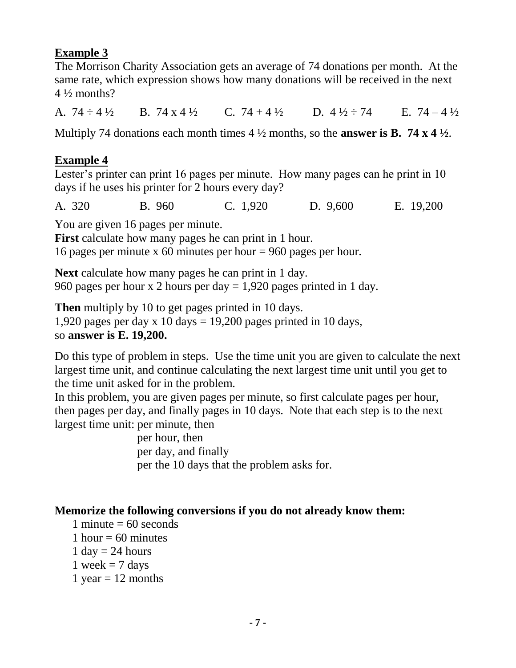#### **Example 3**

The Morrison Charity Association gets an average of 74 donations per month. At the same rate, which expression shows how many donations will be received in the next  $4\frac{1}{2}$  months?

A.  $74 \div 4 \frac{1}{2}$  B.  $74 \times 4 \frac{1}{2}$  C.  $74 + 4 \frac{1}{2}$  D.  $4 \frac{1}{2} \div 74$  E.  $74 - 4 \frac{1}{2}$ 

Multiply 74 donations each month times 4 ½ months, so the **answer is B. 74 x 4 ½**.

#### **Example 4**

Lester's printer can print 16 pages per minute. How many pages can he print in 10 days if he uses his printer for 2 hours every day?

A. 320 B. 960 C. 1,920 D. 9,600 E. 19,200

You are given 16 pages per minute.

**First** calculate how many pages he can print in 1 hour.

16 pages per minute x 60 minutes per hour = 960 pages per hour.

**Next** calculate how many pages he can print in 1 day. 960 pages per hour x 2 hours per day  $= 1,920$  pages printed in 1 day.

**Then** multiply by 10 to get pages printed in 10 days. 1,920 pages per day  $x$  10 days = 19,200 pages printed in 10 days, so **answer is E. 19,200.**

Do this type of problem in steps. Use the time unit you are given to calculate the next largest time unit, and continue calculating the next largest time unit until you get to the time unit asked for in the problem.

In this problem, you are given pages per minute, so first calculate pages per hour, then pages per day, and finally pages in 10 days. Note that each step is to the next largest time unit: per minute, then

> per hour, then per day, and finally per the 10 days that the problem asks for.

#### **Memorize the following conversions if you do not already know them:**

- 1 minute  $= 60$  seconds
- 1 hour  $= 60$  minutes
- 1 day  $= 24$  hours
- 1 week  $= 7$  days
- 1 year  $= 12$  months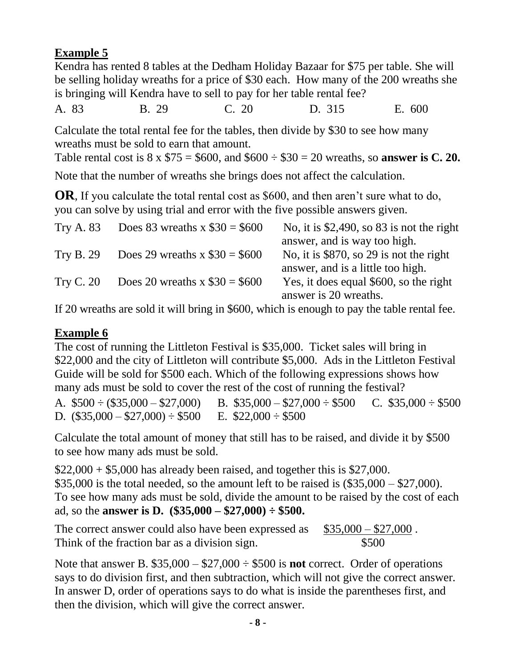### **Example 5**

Kendra has rented 8 tables at the Dedham Holiday Bazaar for \$75 per table. She will be selling holiday wreaths for a price of \$30 each. How many of the 200 wreaths she is bringing will Kendra have to sell to pay for her table rental fee?

A. 83 B. 29 C. 20 D. 315 E. 600

Calculate the total rental fee for the tables, then divide by \$30 to see how many wreaths must be sold to earn that amount.

Table rental cost is  $8 \times $75 = $600$ , and  $$600 \div $30 = 20$  wreaths, so **answer is C. 20.** 

Note that the number of wreaths she brings does not affect the calculation.

**OR**, If you calculate the total rental cost as \$600, and then aren't sure what to do, you can solve by using trial and error with the five possible answers given.

| <b>Try A. 83</b> | Does 83 wreaths x $$30 = $600$   | No, it is $$2,490$ , so 83 is not the right |
|------------------|----------------------------------|---------------------------------------------|
|                  |                                  | answer, and is way too high.                |
| <b>Try B. 29</b> | Does 29 wreaths x $\$30 = \$600$ | No, it is \$870, so 29 is not the right     |
|                  |                                  | answer, and is a little too high.           |
| <b>Try C. 20</b> | Does 20 wreaths $x $30 = $600$   | Yes, it does equal \$600, so the right      |
|                  |                                  | answer is 20 wreaths.                       |

If 20 wreaths are sold it will bring in \$600, which is enough to pay the table rental fee.

#### **Example 6**

The cost of running the Littleton Festival is \$35,000. Ticket sales will bring in \$22,000 and the city of Littleton will contribute \$5,000. Ads in the Littleton Festival Guide will be sold for \$500 each. Which of the following expressions shows how many ads must be sold to cover the rest of the cost of running the festival?

A.  $$500 \div ($35,000 - $27,000)$  B.  $$35,000 - $27,000 \div $500$  C.  $$35,000 \div $500$ D.  $(\$35,000 - \$27,000) \div \$500$  E.  $\$22,000 \div \$500$ 

Calculate the total amount of money that still has to be raised, and divide it by \$500 to see how many ads must be sold.

 $$22,000 + $5,000$  has already been raised, and together this is \$27,000.  $$35,000$  is the total needed, so the amount left to be raised is  $(\$35,000 - \$27,000)$ . To see how many ads must be sold, divide the amount to be raised by the cost of each ad, so the **answer is D. (\$35,000 – \$27,000) ÷ \$500.**

The correct answer could also have been expressed as  $$35,000 - $27,000$ . Think of the fraction bar as a division sign.  $$500$ 

Note that answer B. \$35,000 – \$27,000 ÷ \$500 is **not** correct. Order of operations says to do division first, and then subtraction, which will not give the correct answer. In answer D, order of operations says to do what is inside the parentheses first, and then the division, which will give the correct answer.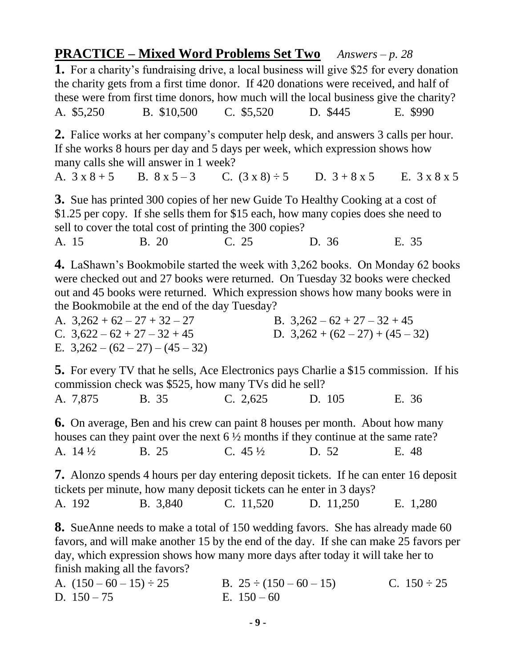**PRACTICE – Mixed Word Problems Set Two** *Answers – p. 28* **1.** For a charity's fundraising drive, a local business will give \$25 for every donation the charity gets from a first time donor. If 420 donations were received, and half of these were from first time donors, how much will the local business give the charity? A. \$5,250 B. \$10,500 C. \$5,520 D. \$445 E. \$990

**2.** Falice works at her company's computer help desk, and answers 3 calls per hour. If she works 8 hours per day and 5 days per week, which expression shows how many calls she will answer in 1 week?

A.  $3 \times 8 + 5$  B.  $8 \times 5 - 3$  C.  $(3 \times 8) \div 5$  D.  $3 + 8 \times 5$  E.  $3 \times 8 \times 5$ 

**3.** Sue has printed 300 copies of her new Guide To Healthy Cooking at a cost of \$1.25 per copy. If she sells them for \$15 each, how many copies does she need to sell to cover the total cost of printing the 300 copies?

A. 15 B. 20 C. 25 D. 36 E. 35

**4.** LaShawn's Bookmobile started the week with 3,262 books. On Monday 62 books were checked out and 27 books were returned. On Tuesday 32 books were checked out and 45 books were returned. Which expression shows how many books were in the Bookmobile at the end of the day Tuesday?

| A. $3,262 + 62 - 27 + 32 - 27$     | B. $3,262 - 62 + 27 - 32 + 45$     |
|------------------------------------|------------------------------------|
| C. $3,622 - 62 + 27 - 32 + 45$     | D. $3,262 + (62 - 27) + (45 - 32)$ |
| E. $3,262 - (62 - 27) - (45 - 32)$ |                                    |

**5.** For every TV that he sells, Ace Electronics pays Charlie a \$15 commission. If his commission check was \$525, how many TVs did he sell?

A. 7,875 B. 35 C. 2,625 D. 105 E. 36

**6.** On average, Ben and his crew can paint 8 houses per month. About how many houses can they paint over the next  $6\frac{1}{2}$  months if they continue at the same rate? A. 14 <sup>1</sup>/<sub>2</sub> B. 25 C. 45 <sup>1</sup>/<sub>2</sub> D. 52 E. 48

**7.** Alonzo spends 4 hours per day entering deposit tickets. If he can enter 16 deposit tickets per minute, how many deposit tickets can he enter in 3 days?

A. 192 B. 3,840 C. 11,520 D. 11,250 E. 1,280

**8.** SueAnne needs to make a total of 150 wedding favors. She has already made 60 favors, and will make another 15 by the end of the day. If she can make 25 favors per day, which expression shows how many more days after today it will take her to finish making all the favors?

| A. $(150-60-15) \div 25$ | B. $25 \div (150 - 60 - 15)$ | C. $150 \div 25$ |
|--------------------------|------------------------------|------------------|
| D. $150 - 75$            | E. $150 - 60$                |                  |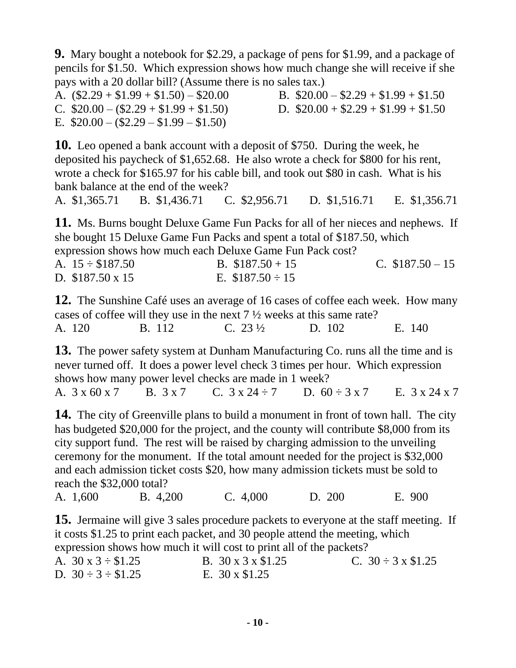**9.** Mary bought a notebook for \$2.29, a package of pens for \$1.99, and a package of pencils for \$1.50. Which expression shows how much change she will receive if she pays with a 20 dollar bill? (Assume there is no sales tax.).

A.  $($2.29 + $1.99 + $1.50) - $20.00$  B.  $$20.00 - $2.29 + $1.99 + $1.50$ C.  $$20.00 - (\$2.29 + \$1.99 + \$1.50)$  D.  $$20.00 + \$2.29 + \$1.99 + \$1.50$ E.  $$20.00 - (2.29 - 1.99 - 1.50)$ 

**10.** Leo opened a bank account with a deposit of \$750. During the week, he deposited his paycheck of \$1,652.68. He also wrote a check for \$800 for his rent, wrote a check for \$165.97 for his cable bill, and took out \$80 in cash. What is his bank balance at the end of the week?

A. \$1,365.71 B. \$1,436.71 C. \$2,956.71 D. \$1,516.71 E. \$1,356.71

**11.** Ms. Burns bought Deluxe Game Fun Packs for all of her nieces and nephews. If she bought 15 Deluxe Game Fun Packs and spent a total of \$187.50, which expression shows how much each Deluxe Game Fun Pack cost?

| A. $15 \div \$187.50$  | B. $$187.50 + 15$    | C. $$187.50 - 15$ |
|------------------------|----------------------|-------------------|
| D. $$187.50 \times 15$ | E. $$187.50 \div 15$ |                   |

**12.** The Sunshine Café uses an average of 16 cases of coffee each week. How many cases of coffee will they use in the next 7 ½ weeks at this same rate? A. 120 B. 112 C. 23 <sup>1</sup>/<sub>2</sub> D. 102 E. 140

**13.** The power safety system at Dunham Manufacturing Co. runs all the time and is never turned off. It does a power level check 3 times per hour. Which expression shows how many power level checks are made in 1 week? A.  $3 \times 60 \times 7$  B.  $3 \times 7$  C.  $3 \times 24 \div 7$  D.  $60 \div 3 \times 7$  E.  $3 \times 24 \times 7$ 

**14.** The city of Greenville plans to build a monument in front of town hall. The city has budgeted \$20,000 for the project, and the county will contribute \$8,000 from its city support fund. The rest will be raised by charging admission to the unveiling ceremony for the monument. If the total amount needed for the project is \$32,000 and each admission ticket costs \$20, how many admission tickets must be sold to reach the \$32,000 total?

A. 1,600 B. 4,200 C. 4,000 D. 200 E. 900

**15.** Jermaine will give 3 sales procedure packets to everyone at the staff meeting. If it costs \$1.25 to print each packet, and 30 people attend the meeting, which expression shows how much it will cost to print all of the packets?

| A. $30 \times 3 \div $1.25$ | B. 30 x 3 x \$1.25    | C. $30 \div 3 \times \$1.25$ |
|-----------------------------|-----------------------|------------------------------|
| D. $30 \div 3 \div $1.25$   | E. $30 \times \$1.25$ |                              |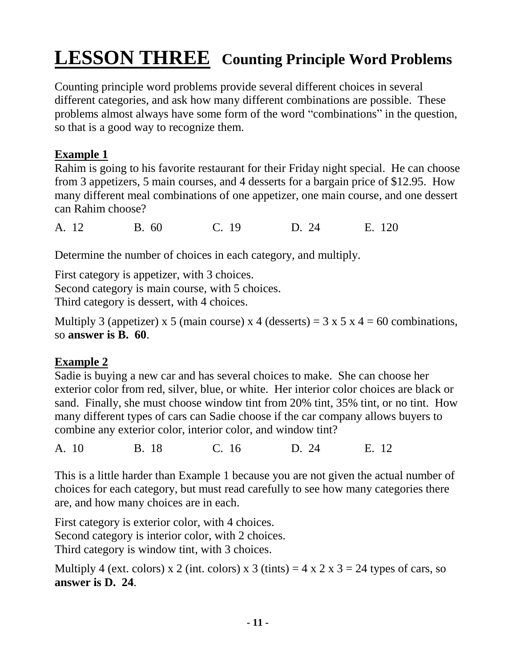# **LESSON THREE Counting Principle Word Problems**

Counting principle word problems provide several different choices in several different categories, and ask how many different combinations are possible. These problems almost always have some form of the word "combinations" in the question, so that is a good way to recognize them.

#### **Example 1**

Rahim is going to his favorite restaurant for their Friday night special. He can choose from 3 appetizers, 5 main courses, and 4 desserts for a bargain price of \$12.95. How many different meal combinations of one appetizer, one main course, and one dessert can Rahim choose?

A. 12 B. 60 C. 19 D. 24 E. 120

Determine the number of choices in each category, and multiply.

First category is appetizer, with 3 choices. Second category is main course, with 5 choices. Third category is dessert, with 4 choices.

Multiply 3 (appetizer) x 5 (main course) x 4 (desserts) =  $3 \times 5 \times 4 = 60$  combinations, so **answer is B. 60**.

#### **Example 2**

Sadie is buying a new car and has several choices to make. She can choose her exterior color from red, silver, blue, or white. Her interior color choices are black or sand. Finally, she must choose window tint from 20% tint, 35% tint, or no tint. How many different types of cars can Sadie choose if the car company allows buyers to combine any exterior color, interior color, and window tint?

A. 10 B. 18 C. 16 D. 24 E. 12

This is a little harder than Example 1 because you are not given the actual number of choices for each category, but must read carefully to see how many categories there are, and how many choices are in each.

First category is exterior color, with 4 choices. Second category is interior color, with 2 choices. Third category is window tint, with 3 choices.

Multiply 4 (ext. colors) x 2 (int. colors) x 3 (tints) =  $4 \times 2 \times 3 = 24$  types of cars, so **answer is D. 24**.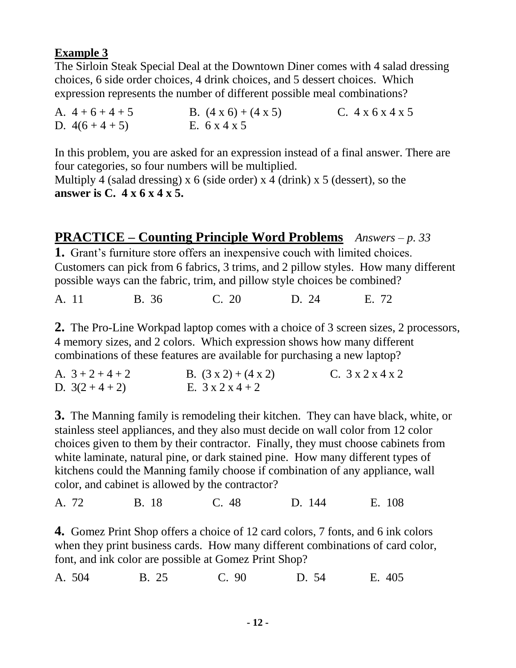#### **Example 3**

The Sirloin Steak Special Deal at the Downtown Diner comes with 4 salad dressing choices, 6 side order choices, 4 drink choices, and 5 dessert choices. Which expression represents the number of different possible meal combinations?

| A. $4+6+4+5$  | B. $(4 \times 6) + (4 \times 5)$ | C. $4 \times 6 \times 4 \times 5$ |
|---------------|----------------------------------|-----------------------------------|
| D. $4(6+4+5)$ | E. $6 \times 4 \times 5$         |                                   |

In this problem, you are asked for an expression instead of a final answer. There are four categories, so four numbers will be multiplied.

Multiply 4 (salad dressing) x 6 (side order) x 4 (drink) x 5 (dessert), so the **answer is C. 4 x 6 x 4 x 5.**

#### **PRACTICE – Counting Principle Word Problems** *Answers – p. 33* **1.** Grant's furniture store offers an inexpensive couch with limited choices. Customers can pick from 6 fabrics, 3 trims, and 2 pillow styles. How many different possible ways can the fabric, trim, and pillow style choices be combined?

A. 11 B. 36 C. 20 D. 24 E. 72

**2.** The Pro-Line Workpad laptop comes with a choice of 3 screen sizes, 2 processors, 4 memory sizes, and 2 colors. Which expression shows how many different combinations of these features are available for purchasing a new laptop?

| A. $3+2+4+2$  | B. $(3x2) + (4x2)$           | C. $3 \times 2 \times 4 \times 2$ |
|---------------|------------------------------|-----------------------------------|
| D. $3(2+4+2)$ | E. $3 \times 2 \times 4 + 2$ |                                   |

**3.** The Manning family is remodeling their kitchen. They can have black, white, or stainless steel appliances, and they also must decide on wall color from 12 color choices given to them by their contractor. Finally, they must choose cabinets from white laminate, natural pine, or dark stained pine. How many different types of kitchens could the Manning family choose if combination of any appliance, wall color, and cabinet is allowed by the contractor?

A. 72 B. 18 C. 48 D. 144 E. 108

**4.** Gomez Print Shop offers a choice of 12 card colors, 7 fonts, and 6 ink colors when they print business cards. How many different combinations of card color, font, and ink color are possible at Gomez Print Shop?

A. 504 B. 25 C. 90 D. 54 E. 405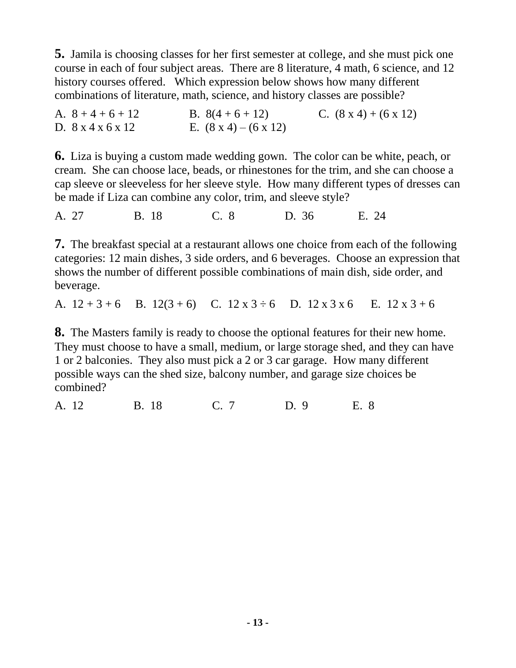**5.** Jamila is choosing classes for her first semester at college, and she must pick one course in each of four subject areas. There are 8 literature, 4 math, 6 science, and 12 history courses offered. Which expression below shows how many different combinations of literature, math, science, and history classes are possible?

| A. $8+4+6+12$                      | B. $8(4+6+12)$                    | C. $(8 \times 4) + (6 \times 12)$ |
|------------------------------------|-----------------------------------|-----------------------------------|
| D. $8 \times 4 \times 6 \times 12$ | E. $(8 \times 4) - (6 \times 12)$ |                                   |

**6.** Liza is buying a custom made wedding gown. The color can be white, peach, or cream. She can choose lace, beads, or rhinestones for the trim, and she can choose a cap sleeve or sleeveless for her sleeve style. How many different types of dresses can be made if Liza can combine any color, trim, and sleeve style?

A. 27 B. 18 C. 8 D. 36 E. 24

**7.** The breakfast special at a restaurant allows one choice from each of the following categories: 12 main dishes, 3 side orders, and 6 beverages. Choose an expression that shows the number of different possible combinations of main dish, side order, and beverage.

A.  $12 + 3 + 6$  B.  $12(3 + 6)$  C.  $12 \times 3 + 6$  D.  $12 \times 3 \times 6$  E.  $12 \times 3 + 6$ 

**8.** The Masters family is ready to choose the optional features for their new home. They must choose to have a small, medium, or large storage shed, and they can have 1 or 2 balconies. They also must pick a 2 or 3 car garage. How many different possible ways can the shed size, balcony number, and garage size choices be combined?

A. 12B. 18 C. 7 D. 9 E. 8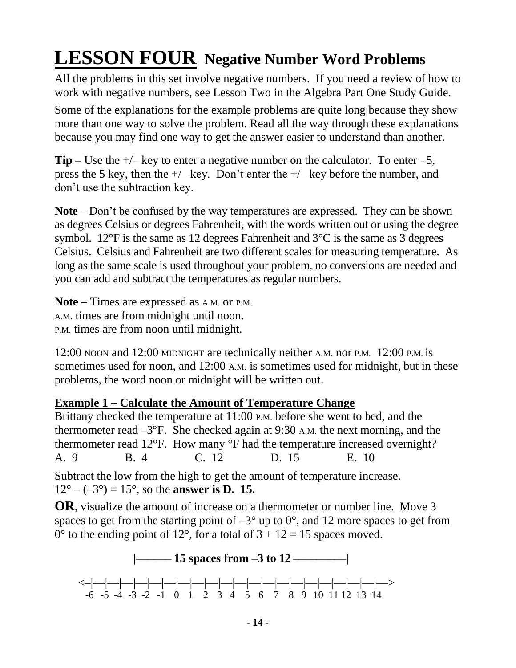# **LESSON FOUR Negative Number Word Problems**

All the problems in this set involve negative numbers. If you need a review of how to work with negative numbers, see Lesson Two in the Algebra Part One Study Guide.

Some of the explanations for the example problems are quite long because they show more than one way to solve the problem. Read all the way through these explanations because you may find one way to get the answer easier to understand than another.

**Tip** – Use the  $+\prime$ – key to enter a negative number on the calculator. To enter –5, press the 5 key, then the  $+/-$  key. Don't enter the  $+/-$  key before the number, and don't use the subtraction key.

**Note –** Don't be confused by the way temperatures are expressed. They can be shown as degrees Celsius or degrees Fahrenheit, with the words written out or using the degree symbol. 12 $\degree$ F is the same as 12 degrees Fahrenheit and 3 $\degree$ C is the same as 3 degrees Celsius. Celsius and Fahrenheit are two different scales for measuring temperature. As long as the same scale is used throughout your problem, no conversions are needed and you can add and subtract the temperatures as regular numbers.

**Note –** Times are expressed as A.M. or P.M. A.M. times are from midnight until noon. P.M. times are from noon until midnight.

12:00 NOON and 12:00 MIDNIGHT are technically neither A.M. nor P.M. 12:00 P.M. is sometimes used for noon, and 12:00 A.M. is sometimes used for midnight, but in these problems, the word noon or midnight will be written out.

#### **Example 1 – Calculate the Amount of Temperature Change**

Brittany checked the temperature at 11:00 P.M. before she went to bed, and the thermometer read  $-3^{\circ}$ F. She checked again at 9:30 A.M. the next morning, and the thermometer read 12°F. How many °F had the temperature increased overnight? A. 9 B. 4 C. 12 D. 15 E. 10

Subtract the low from the high to get the amount of temperature increase.  $12^{\circ} - (-3^{\circ}) = 15^{\circ}$ , so the **answer is D. 15.** 

**OR**, visualize the amount of increase on a thermometer or number line. Move 3 spaces to get from the starting point of  $-3^{\circ}$  up to  $0^{\circ}$ , and 12 more spaces to get from  $0^{\circ}$  to the ending point of 12°, for a total of  $3 + 12 = 15$  spaces moved.

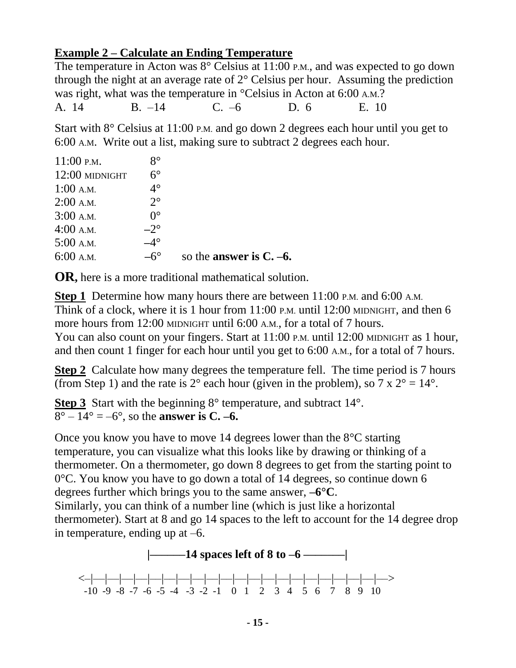#### **Example 2 – Calculate an Ending Temperature**

The temperature in Acton was 8° Celsius at 11:00 P.M., and was expected to go down through the night at an average rate of  $2^{\circ}$  Celsius per hour. Assuming the prediction was right, what was the temperature in °Celsius in Acton at 6:00 A.M.? A. 14 B. –14 C. –6 D. 6 E. 10

Start with 8° Celsius at 11:00 P.M. and go down 2 degrees each hour until you get to 6:00 A.M. Write out a list, making sure to subtract 2 degrees each hour.

| 4:00 A.M.<br>$5:00$ A.M. | $-2^{\circ}$<br>-4° |  |
|--------------------------|---------------------|--|
| 3:00 A.M.                | $0^{\circ}$         |  |
| $2:00$ A.M.              | $2^{\circ}$         |  |
| $1:00$ A.M.              | $4^\circ$           |  |
| 12:00 MIDNIGHT           | $6^{\circ}$         |  |
| $11:00$ P.M.             | $8^{\circ}$         |  |

**OR,** here is a more traditional mathematical solution.

**Step 1** Determine how many hours there are between 11:00 P.M. and 6:00 A.M. Think of a clock, where it is 1 hour from 11:00 P.M. until 12:00 MIDNIGHT, and then 6 more hours from 12:00 MIDNIGHT until 6:00 A.M., for a total of 7 hours. You can also count on your fingers. Start at 11:00 P.M. until 12:00 MIDNIGHT as 1 hour, and then count 1 finger for each hour until you get to 6:00 A.M., for a total of 7 hours.

**Step 2** Calculate how many degrees the temperature fell. The time period is 7 hours (from Step 1) and the rate is  $2^{\circ}$  each hour (given in the problem), so  $7 \times 2^{\circ} = 14^{\circ}$ .

**Step 3** Start with the beginning 8° temperature, and subtract 14°.  $8^{\circ} - 14^{\circ} = -6^{\circ}$ , so the **answer is C.** –6.

Once you know you have to move 14 degrees lower than the 8°C starting temperature, you can visualize what this looks like by drawing or thinking of a thermometer. On a thermometer, go down 8 degrees to get from the starting point to 0°C. You know you have to go down a total of 14 degrees, so continue down 6 degrees further which brings you to the same answer, **–6°C**.

Similarly, you can think of a number line (which is just like a horizontal thermometer). Start at 8 and go 14 spaces to the left to account for the 14 degree drop in temperature, ending up at –6.

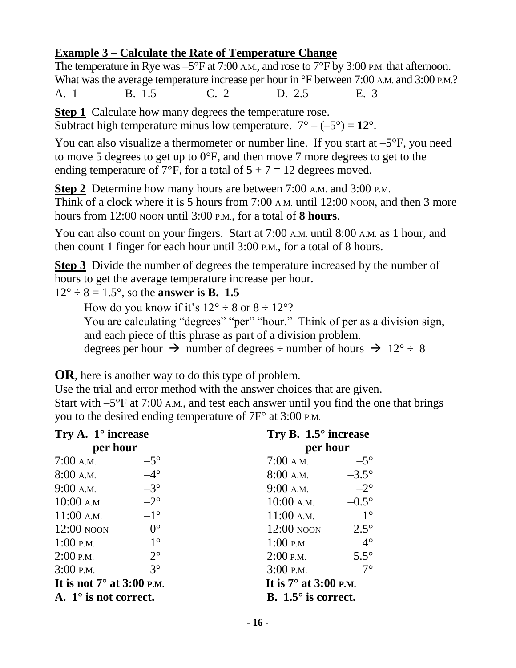#### **Example 3 – Calculate the Rate of Temperature Change**

The temperature in Rye was  $-5^{\circ}$ F at 7:00 A.M., and rose to 7 $\rm{^{\circ}F}$  by 3:00 P.M. that afternoon. What was the average temperature increase per hour in  $\mathrm{^{\circ}F}$  between 7:00 A.M. and 3:00 P.M.? A. 1 B. 1.5 C. 2 D. 2.5 E. 3

**Step 1** Calculate how many degrees the temperature rose.

Subtract high temperature minus low temperature.  $7^{\circ} - (-5^{\circ}) = 12^{\circ}$ .

You can also visualize a thermometer or number line. If you start at  $-5^{\circ}F$ , you need to move 5 degrees to get up to 0°F, and then move 7 more degrees to get to the ending temperature of 7°F, for a total of  $5 + 7 = 12$  degrees moved.

**Step 2** Determine how many hours are between 7:00 A.M. and 3:00 P.M.

Think of a clock where it is 5 hours from 7:00 A.M. until 12:00 NOON, and then 3 more hours from 12:00 NOON until 3:00 P.M., for a total of **8 hours**.

You can also count on your fingers. Start at 7:00 A.M. until 8:00 A.M. as 1 hour, and then count 1 finger for each hour until 3:00 P.M., for a total of 8 hours.

**Step 3** Divide the number of degrees the temperature increased by the number of hours to get the average temperature increase per hour.

 $12^{\circ} \div 8 = 1.5^{\circ}$ , so the **answer is B. 1.5** 

How do you know if it's  $12^{\circ} \div 8$  or  $8 \div 12^{\circ}$ ?

You are calculating "degrees" "per" "hour." Think of per as a division sign, and each piece of this phrase as part of a division problem.

degrees per hour  $\rightarrow$  number of degrees  $\div$  number of hours  $\rightarrow$  12°  $\div$  8

**OR**, here is another way to do this type of problem.

Use the trial and error method with the answer choices that are given. Start with  $-5^{\circ}$ F at 7:00 A.M., and test each answer until you find the one that brings you to the desired ending temperature of 7F° at 3:00 P.M.

| Try A. $1^\circ$ increase        |              | Try B. $1.5^{\circ}$ increase |              |  |  |
|----------------------------------|--------------|-------------------------------|--------------|--|--|
| per hour                         |              | per hour                      |              |  |  |
| $7:00$ A.M.                      | $-5^\circ$   | $7:00$ A.M.                   | $-5^\circ$   |  |  |
| $8:00$ A.M.                      | $-4^\circ$   | $8:00$ A.M.                   | $-3.5^\circ$ |  |  |
| $9:00$ A.M.                      | $-3^\circ$   | $9:00$ A.M.                   | $-2^{\circ}$ |  |  |
| $10:00$ A.M.                     | $-2^{\circ}$ | $10:00$ A.M.                  | $-0.5^\circ$ |  |  |
| $11:00$ A.M.                     | $-1^{\circ}$ | $11:00$ A.M.                  | $1^{\circ}$  |  |  |
| $12:00$ NOON                     | $0^{\circ}$  | $12:00$ NOON                  | $2.5^\circ$  |  |  |
| $1:00$ P.M.                      | $1^{\circ}$  | $1:00$ P.M.                   | $4^\circ$    |  |  |
| $2:00$ P.M.                      | $2^{\circ}$  | $2:00$ P.M.                   | $5.5^\circ$  |  |  |
| $3:00$ P.M.                      | $3^\circ$    | $3:00$ P.M.                   | $7^\circ$    |  |  |
| It is not $7^\circ$ at 3:00 p.m. |              | It is $7^\circ$ at 3:00 p.m.  |              |  |  |
| A. $1^\circ$ is not correct.     |              | B. $1.5^{\circ}$ is correct.  |              |  |  |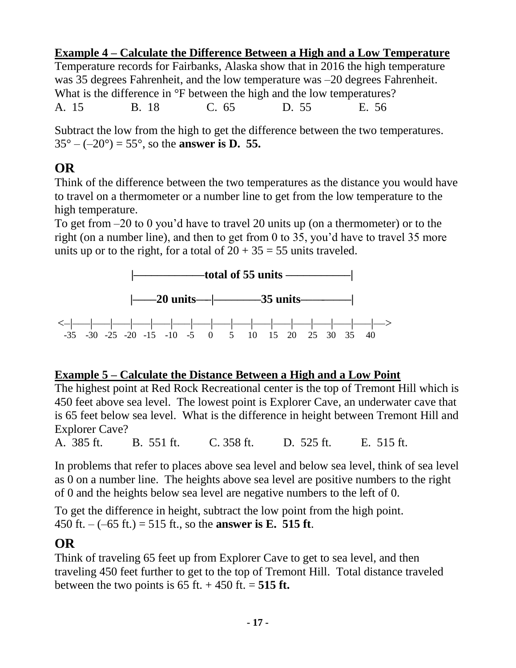#### **Example 4 – Calculate the Difference Between a High and a Low Temperature**

Temperature records for Fairbanks, Alaska show that in 2016 the high temperature was 35 degrees Fahrenheit, and the low temperature was –20 degrees Fahrenheit. What is the difference in  $\mathrm{P}F$  between the high and the low temperatures? A. 15 B. 18 C. 65 D. 55 E. 56

Subtract the low from the high to get the difference between the two temperatures.  $35^{\circ} - (-20^{\circ}) = 55^{\circ}$ , so the **answer is D. 55.** 

#### **OR**

Think of the difference between the two temperatures as the distance you would have to travel on a thermometer or a number line to get from the low temperature to the high temperature.

To get from –20 to 0 you'd have to travel 20 units up (on a thermometer) or to the right (on a number line), and then to get from 0 to 35, you'd have to travel 35 more units up or to the right, for a total of  $20 + 35 = 55$  units traveled.



#### **Example 5 – Calculate the Distance Between a High and a Low Point**

The highest point at Red Rock Recreational center is the top of Tremont Hill which is 450 feet above sea level. The lowest point is Explorer Cave, an underwater cave that is 65 feet below sea level. What is the difference in height between Tremont Hill and Explorer Cave?

A. 385 ft. B. 551 ft. C. 358 ft. D. 525 ft. E. 515 ft.

In problems that refer to places above sea level and below sea level, think of sea level as 0 on a number line. The heights above sea level are positive numbers to the right of 0 and the heights below sea level are negative numbers to the left of 0.

To get the difference in height, subtract the low point from the high point. 450 ft. – (–65 ft.) = 515 ft., so the **answer is E. 515 ft**.

#### **OR**

Think of traveling 65 feet up from Explorer Cave to get to sea level, and then traveling 450 feet further to get to the top of Tremont Hill. Total distance traveled between the two points is  $65$  ft.  $+ 450$  ft.  $= 515$  ft.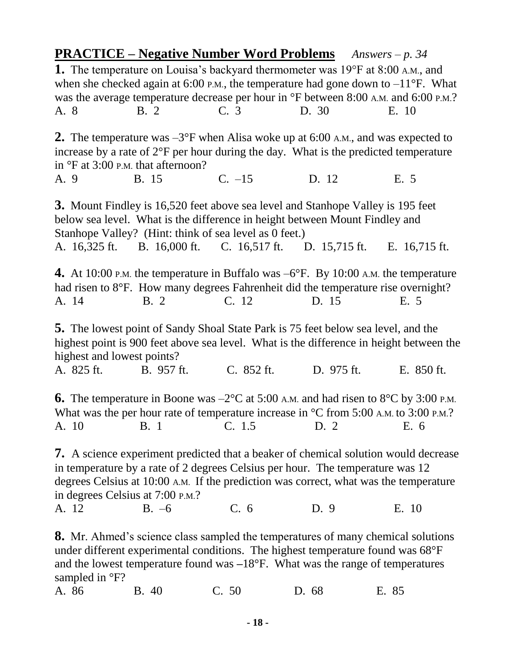**PRACTICE – Negative Number Word Problems** *Answers – p. 34* **1.** The temperature on Louisa's backyard thermometer was 19°F at 8:00 A.M., and when she checked again at 6:00 P.M., the temperature had gone down to  $-11^{\circ}$ F. What was the average temperature decrease per hour in  $\rm{^{\circ}F}$  between 8:00 A.M. and 6:00 P.M.? A. 8 B. 2 C. 3 D. 30 E. 10 **2.** The temperature was  $-3^{\circ}$ F when Alisa woke up at 6:00 A.M., and was expected to increase by a rate of 2°F per hour during the day. What is the predicted temperature in °F at 3:00 P.M. that afternoon? A. 9 B. 15 C. –15 D. 12 E. 5 **3.** Mount Findley is 16,520 feet above sea level and Stanhope Valley is 195 feet below sea level. What is the difference in height between Mount Findley and Stanhope Valley? (Hint: think of sea level as 0 feet.) A. 16,325 ft. B. 16,000 ft. C. 16,517 ft. D. 15,715 ft. E. 16,715 ft. **4.** At 10:00 P.M. the temperature in Buffalo was  $-6^{\circ}$ F. By 10:00 A.M. the temperature had risen to 8°F. How many degrees Fahrenheit did the temperature rise overnight? A. 14 B. 2 C. 12 D. 15 E. 5 **5.** The lowest point of Sandy Shoal State Park is 75 feet below sea level, and the highest point is 900 feet above sea level. What is the difference in height between the highest and lowest points? A. 825 ft. B. 957 ft. C. 852 ft. D. 975 ft. E. 850 ft. **6.** The temperature in Boone was  $-2^{\circ}$ C at 5:00 A.M. and had risen to  $8^{\circ}$ C by 3:00 P.M. What was the per hour rate of temperature increase in  $\degree$ C from 5:00 A.M. to 3:00 P.M.? A. 10 B. 1 C. 1.5 D. 2 E. 6 **7.** A science experiment predicted that a beaker of chemical solution would decrease in temperature by a rate of 2 degrees Celsius per hour. The temperature was 12 degrees Celsius at 10:00 A.M. If the prediction was correct, what was the temperature in degrees Celsius at 7:00 P.M.? A. 12 B. –6 C. 6 D. 9 E. 10 **8.** Mr. Ahmed's science class sampled the temperatures of many chemical solutions under different experimental conditions. The highest temperature found was 68°F and the lowest temperature found was **–**18°F. What was the range of temperatures sampled in  ${}^{\circ}F$ ? A. 86 B. 40 C. 50 D. 68 E. 85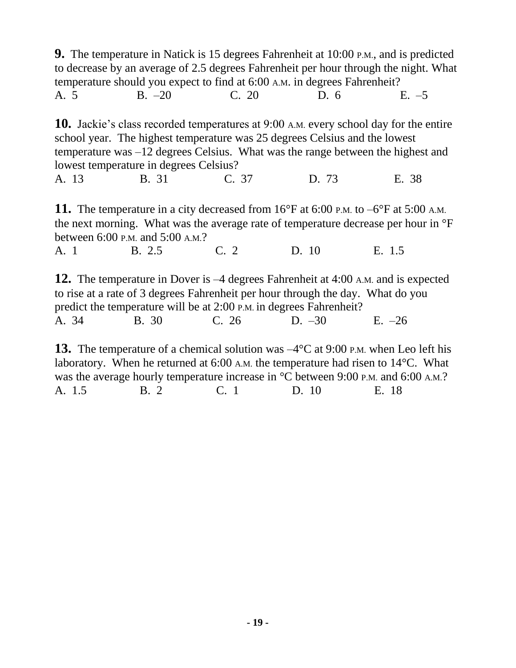**9.** The temperature in Natick is 15 degrees Fahrenheit at 10:00 P.M., and is predicted to decrease by an average of 2.5 degrees Fahrenheit per hour through the night. What temperature should you expect to find at 6:00 A.M. in degrees Fahrenheit? A. 5 B. –20 C. 20 D. 6 E. –5

**10.** Jackie's class recorded temperatures at 9:00 A.M. every school day for the entire school year. The highest temperature was 25 degrees Celsius and the lowest temperature was –12 degrees Celsius. What was the range between the highest and lowest temperature in degrees Celsius?

A. 13 B. 31 C. 37 D. 73 E. 38

**11.** The temperature in a city decreased from 16°F at 6:00 P.M. to -6°F at 5:00 A.M. the next morning. What was the average rate of temperature decrease per hour in °F between 6:00 P.M. and 5:00 A.M.?

A. 1 B. 2.5 C. 2 D. 10 E. 1.5

**12.** The temperature in Dover is –4 degrees Fahrenheit at 4:00 A.M. and is expected to rise at a rate of 3 degrees Fahrenheit per hour through the day. What do you predict the temperature will be at 2:00 P.M. in degrees Fahrenheit? A. 34 B. 30 C. 26 D. –30 E. –26

**13.** The temperature of a chemical solution was  $-4^{\circ}$ C at 9:00 P.M. when Leo left his laboratory. When he returned at 6:00 A.M. the temperature had risen to 14°C. What was the average hourly temperature increase in <sup>o</sup>C between 9:00 P.M. and 6:00 A.M.? A. 1.5 B. 2C. 1 D. 10 E. 18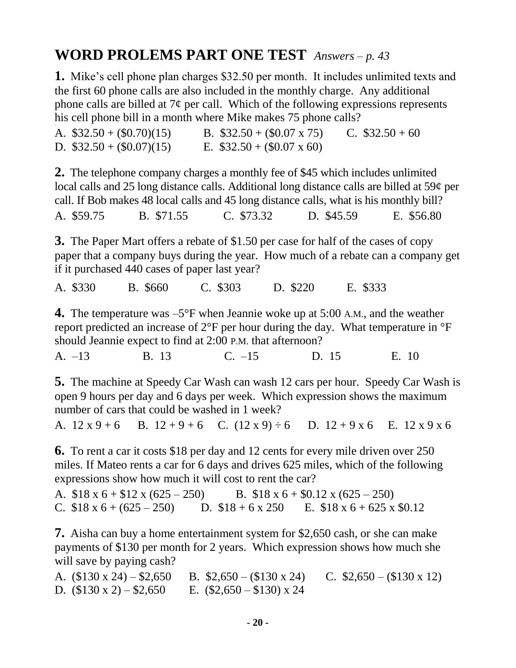# **WORD PROLEMS PART ONE TEST** *Answers – p. 43*

**1.** Mike's cell phone plan charges \$32.50 per month. It includes unlimited texts and the first 60 phone calls are also included in the monthly charge. Any additional phone calls are billed at  $7¢$  per call. Which of the following expressions represents his cell phone bill in a month where Mike makes 75 phone calls?

| A. $$32.50 + (0.70)(15)$ | B. $$32.50 + (0.07 \times 75)$ | C. $$32.50 + 60$ |
|--------------------------|--------------------------------|------------------|
| D. $$32.50 + (0.07)(15)$ | E. $$32.50 + (0.07 \times 60)$ |                  |

**2.** The telephone company charges a monthly fee of \$45 which includes unlimited local calls and 25 long distance calls. Additional long distance calls are billed at 59¢ per call. If Bob makes 48 local calls and 45 long distance calls, what is his monthly bill? A. \$59.75 B. \$71.55 C. \$73.32 D. \$45.59 E. \$56.80

**3.** The Paper Mart offers a rebate of \$1.50 per case for half of the cases of copy paper that a company buys during the year. How much of a rebate can a company get if it purchased 440 cases of paper last year?

A. \$330 B. \$660 C. \$303 D. \$220 E. \$333

**4.** The temperature was –5°F when Jeannie woke up at 5:00 A.M., and the weather report predicted an increase of 2°F per hour during the day. What temperature in °F should Jeannie expect to find at 2:00 P.M. that afternoon?

A. –13 B. 13 C. –15 D. 15 E. 10

**5.** The machine at Speedy Car Wash can wash 12 cars per hour. Speedy Car Wash is open 9 hours per day and 6 days per week. Which expression shows the maximum number of cars that could be washed in 1 week?

A.  $12 x 9 + 6$  B.  $12 + 9 + 6$  C.  $(12 x 9) \div 6$  D.  $12 + 9x 6$  E.  $12 x 9 x 6$ 

**6.** To rent a car it costs \$18 per day and 12 cents for every mile driven over 250 miles. If Mateo rents a car for 6 days and drives 625 miles, which of the following expressions show how much it will cost to rent the car?

A.  $$18 \times 6 + $12 \times (625 - 250)$  B.  $$18 \times 6 + $0.12 \times (625 - 250)$ C.  $$18 \times 6 + (625 - 250)$  D.  $$18 + 6 \times 250$  E.  $$18 \times 6 + 625 \times $0.12$ 

**7.** Aisha can buy a home entertainment system for \$2,650 cash, or she can make payments of \$130 per month for 2 years. Which expression shows how much she will save by paying cash?

A.  $($130 \times 24) - $2,650$  B.  $$2,650 - ($130 \times 24)$  C.  $$2,650 - ($130 \times 12)$ D.  $(\$130 \times 2) - \$2,650$  E.  $(\$2,650 - \$130) \times 24$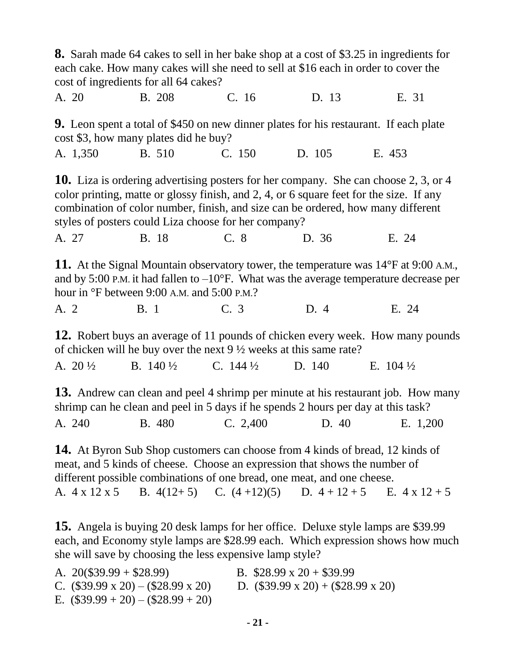| <b>8.</b> Sarah made 64 cakes to sell in her bake shop at a cost of \$3.25 in ingredients for<br>each cake. How many cakes will she need to sell at \$16 each in order to cover the<br>cost of ingredients for all 64 cakes?                                                                                                      |                     |                                                                                                                                                                                                                                                                                                                                    |        |                                                                                                                                                                                                                           |  |  |
|-----------------------------------------------------------------------------------------------------------------------------------------------------------------------------------------------------------------------------------------------------------------------------------------------------------------------------------|---------------------|------------------------------------------------------------------------------------------------------------------------------------------------------------------------------------------------------------------------------------------------------------------------------------------------------------------------------------|--------|---------------------------------------------------------------------------------------------------------------------------------------------------------------------------------------------------------------------------|--|--|
| A. 20                                                                                                                                                                                                                                                                                                                             | <b>B.</b> 208       | C. 16                                                                                                                                                                                                                                                                                                                              | D. 13  | E. 31                                                                                                                                                                                                                     |  |  |
| cost \$3, how many plates did he buy?                                                                                                                                                                                                                                                                                             |                     |                                                                                                                                                                                                                                                                                                                                    |        | 9. Leon spent a total of \$450 on new dinner plates for his restaurant. If each plate                                                                                                                                     |  |  |
| A. 1,350                                                                                                                                                                                                                                                                                                                          | B. 510              | C. 150                                                                                                                                                                                                                                                                                                                             | D. 105 | E. 453                                                                                                                                                                                                                    |  |  |
| <b>10.</b> Liza is ordering advertising posters for her company. She can choose 2, 3, or 4<br>color printing, matte or glossy finish, and 2, 4, or 6 square feet for the size. If any<br>combination of color number, finish, and size can be ordered, how many different<br>styles of posters could Liza choose for her company? |                     |                                                                                                                                                                                                                                                                                                                                    |        |                                                                                                                                                                                                                           |  |  |
| A. 27                                                                                                                                                                                                                                                                                                                             | B. 18               | C. 8                                                                                                                                                                                                                                                                                                                               | D. 36  | E. 24                                                                                                                                                                                                                     |  |  |
| hour in °F between 9:00 A.M. and 5:00 P.M.?                                                                                                                                                                                                                                                                                       |                     |                                                                                                                                                                                                                                                                                                                                    |        | 11. At the Signal Mountain observatory tower, the temperature was $14^{\circ}$ F at 9:00 A.M.,<br>and by 5:00 P.M. it had fallen to $-10^{\circ}$ F. What was the average temperature decrease per                        |  |  |
| A. 2                                                                                                                                                                                                                                                                                                                              | <b>B.</b> 1         | C. 3                                                                                                                                                                                                                                                                                                                               | D. 4   | E. 24                                                                                                                                                                                                                     |  |  |
|                                                                                                                                                                                                                                                                                                                                   |                     | of chicken will be buy over the next $9\frac{1}{2}$ weeks at this same rate?                                                                                                                                                                                                                                                       |        | <b>12.</b> Robert buys an average of 11 pounds of chicken every week. How many pounds                                                                                                                                     |  |  |
| A. $20\frac{1}{2}$                                                                                                                                                                                                                                                                                                                | B. $140\frac{1}{2}$ | C. $144\frac{1}{2}$                                                                                                                                                                                                                                                                                                                | D. 140 | E. $104\frac{1}{2}$                                                                                                                                                                                                       |  |  |
|                                                                                                                                                                                                                                                                                                                                   |                     | shrimp can he clean and peel in 5 days if he spends 2 hours per day at this task?<br><b>14.</b> At Byron Sub Shop customers can choose from 4 kinds of bread, 12 kinds of<br>meat, and 5 kinds of cheese. Choose an expression that shows the number of<br>different possible combinations of one bread, one meat, and one cheese. |        | <b>13.</b> Andrew can clean and peel 4 shrimp per minute at his restaurant job. How many<br>A. 240 B. 480 C. 2,400 D. 40 E. 1,200<br>A. $4 \times 12 \times 5$ B. $4(12+5)$ C. $(4+12)(5)$ D. $4+12+5$ E. $4 \times 12+5$ |  |  |
|                                                                                                                                                                                                                                                                                                                                   |                     |                                                                                                                                                                                                                                                                                                                                    |        |                                                                                                                                                                                                                           |  |  |

**15.** Angela is buying 20 desk lamps for her office. Deluxe style lamps are \$39.99 each, and Economy style lamps are \$28.99 each. Which expression shows how much she will save by choosing the less expensive lamp style?

| A. $20(\$39.99 + \$28.99)$                     | B. $$28.99 \times 20 + $39.99$                 |
|------------------------------------------------|------------------------------------------------|
| C. $(\$39.99 \times 20) - (\$28.99 \times 20)$ | D. $(\$39.99 \times 20) + (\$28.99 \times 20)$ |
| E. $(\$39.99 + 20) - \$28.99 + 20)$            |                                                |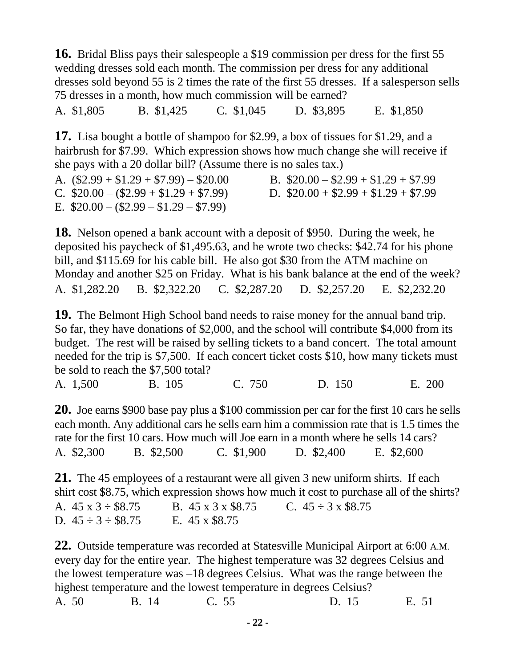**16.** Bridal Bliss pays their salespeople a \$19 commission per dress for the first 55 wedding dresses sold each month. The commission per dress for any additional dresses sold beyond 55 is 2 times the rate of the first 55 dresses. If a salesperson sells 75 dresses in a month, how much commission will be earned?

A. \$1,805B. \$1,425 C. \$1,045 D. \$3,895 E. \$1,850

**17.** Lisa bought a bottle of shampoo for \$2.99, a box of tissues for \$1.29, and a hairbrush for \$7.99. Which expression shows how much change she will receive if she pays with a 20 dollar bill? (Assume there is no sales tax.)

| A. $(\$2.99 + \$1.29 + \$7.99) - \$20.00$ | B. $$20.00 - $2.99 + $1.29 + $7.99$ |
|-------------------------------------------|-------------------------------------|
| C. $$20.00 - ($2.99 + $1.29 + $7.99)$     | D. $$20.00 + $2.99 + $1.29 + $7.99$ |
| E. $$20.00 - ($2.99 - $1.29 - $7.99)$     |                                     |

**18.** Nelson opened a bank account with a deposit of \$950. During the week, he deposited his paycheck of \$1,495.63, and he wrote two checks: \$42.74 for his phone bill, and \$115.69 for his cable bill. He also got \$30 from the ATM machine on Monday and another \$25 on Friday. What is his bank balance at the end of the week? A. \$1,282.20 B. \$2,322.20 C. \$2,287.20 D. \$2,257.20 E. \$2,232.20

**19.** The Belmont High School band needs to raise money for the annual band trip. So far, they have donations of \$2,000, and the school will contribute \$4,000 from its budget. The rest will be raised by selling tickets to a band concert. The total amount needed for the trip is \$7,500. If each concert ticket costs \$10, how many tickets must be sold to reach the \$7,500 total?

A. 1,500 B. 105 C. 750 D. 150E. 200

**20.** Joe earns \$900 base pay plus a \$100 commission per car for the first 10 cars he sells each month. Any additional cars he sells earn him a commission rate that is 1.5 times the rate for the first 10 cars. How much will Joe earn in a month where he sells 14 cars? A. \$2,300 B. \$2,500C. \$1,900 D. \$2,400 E. \$2,600

**21.** The 45 employees of a restaurant were all given 3 new uniform shirts. If each shirt cost \$8.75, which expression shows how much it cost to purchase all of the shirts? A.  $45 \times 3 \div \$8.75$  B.  $45 \times 3 \times \$8.75$  C.  $45 \div 3 \times \$8.75$ D.  $45 \div 3 \div $8.75$  E.  $45 \times $8.75$ 

**22.** Outside temperature was recorded at Statesville Municipal Airport at 6:00 A.M. every day for the entire year. The highest temperature was 32 degrees Celsius and the lowest temperature was –18 degrees Celsius. What was the range between the highest temperature and the lowest temperature in degrees Celsius? A. 50 B. 14 C. 55 D. 15 E. 51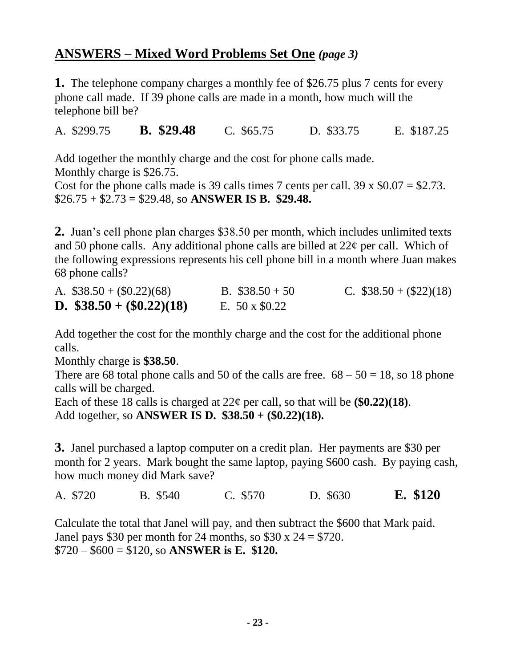#### **ANSWERS – Mixed Word Problems Set One** *(page 3)*

**1.** The telephone company charges a monthly fee of \$26.75 plus 7 cents for every phone call made. If 39 phone calls are made in a month, how much will the telephone bill be?

A. \$299.75 **B. \$29.48** C. \$65.75 D. \$33.75 E. \$187.25

Add together the monthly charge and the cost for phone calls made. Monthly charge is \$26.75.

Cost for the phone calls made is 39 calls times 7 cents per call. 39 x  $$0.07 = $2.73$ . \$26.75 + \$2.73 = \$29.48, so **ANSWER IS B. \$29.48.**

**2.** Juan's cell phone plan charges \$38.50 per month, which includes unlimited texts and 50 phone calls. Any additional phone calls are billed at  $22\varphi$  per call. Which of the following expressions represents his cell phone bill in a month where Juan makes 68 phone calls?

| A. $$38.50 + (0.22)(68)$          | B. $$38.50 + 50$     | C. $$38.50 + (22)(18)$ |
|-----------------------------------|----------------------|------------------------|
| <b>D.</b> $$38.50 + (\$0.22)(18)$ | E. $50 \times $0.22$ |                        |

Add together the cost for the monthly charge and the cost for the additional phone calls.

Monthly charge is **\$38.50**.

There are 68 total phone calls and 50 of the calls are free.  $68 - 50 = 18$ , so 18 phone calls will be charged.

Each of these 18 calls is charged at  $22¢$  per call, so that will be  $(\$0.22)(18)$ . Add together, so **ANSWER IS D. \$38.50 + (\$0.22)(18).**

**3.** Janel purchased a laptop computer on a credit plan. Her payments are \$30 per month for 2 years. Mark bought the same laptop, paying \$600 cash. By paying cash, how much money did Mark save?

A. \$720 B. \$540 C. \$570 D. \$630 **E. \$120**

Calculate the total that Janel will pay, and then subtract the \$600 that Mark paid. Janel pays \$30 per month for 24 months, so \$30 x  $24 = $720$ . \$720 – \$600 = \$120, so **ANSWER is E. \$120.**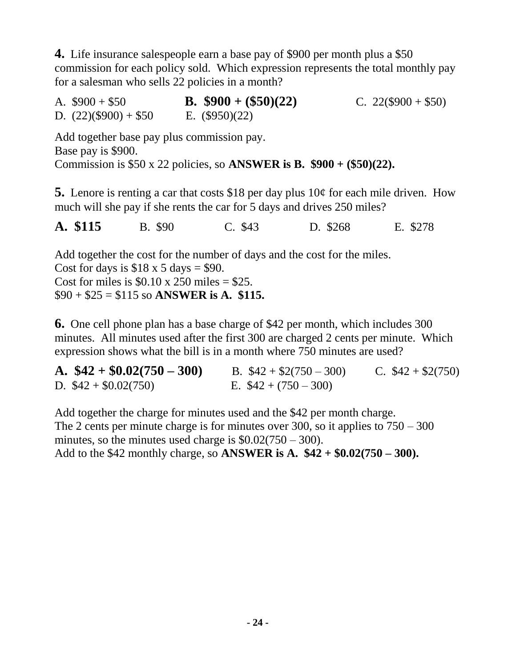**4.** Life insurance salespeople earn a base pay of \$900 per month plus a \$50 commission for each policy sold. Which expression represents the total monthly pay for a salesman who sells 22 policies in a month?

| A. $$900 + $50$         | <b>B.</b> $$900 + ($50)(22)$ | C. $22(\$900 + \$50)$ |
|-------------------------|------------------------------|-----------------------|
| D. $(22)(\$900) + \$50$ | E. $(\$950)(22)$             |                       |

Add together base pay plus commission pay. Base pay is \$900. Commission is \$50 x 22 policies, so **ANSWER is B. \$900 + (\$50)(22).**

**5.** Lenore is renting a car that costs \$18 per day plus 10¢ for each mile driven. How much will she pay if she rents the car for 5 days and drives 250 miles?

**A. \$115** B. \$90 C. \$43 D. \$268 E. \$278

Add together the cost for the number of days and the cost for the miles. Cost for days is  $$18 \times 5 \text{ days} = $90$ . Cost for miles is  $$0.10 \times 250$  miles  $= $25$ . \$90 + \$25 = \$115 so **ANSWER is A. \$115.**

**6.** One cell phone plan has a base charge of \$42 per month, which includes 300 minutes. All minutes used after the first 300 are charged 2 cents per minute. Which expression shows what the bill is in a month where 750 minutes are used?

**A.**  $$42 + $0.02(750 - 300)$  B.  $$42 + $2(750 - 300)$  C.  $$42 + $2(750)$ D.  $$42 + $0.02(750)$  E.  $$42 + (750 - 300)$ 

Add together the charge for minutes used and the \$42 per month charge. The 2 cents per minute charge is for minutes over 300, so it applies to 750 – 300 minutes, so the minutes used charge is  $$0.02(750 - 300)$ . Add to the \$42 monthly charge, so **ANSWER is A. \$42 + \$0.02(750 – 300).**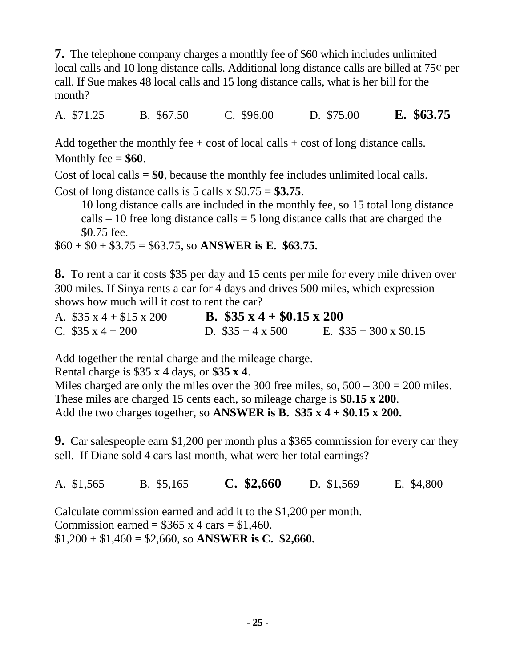**7.** The telephone company charges a monthly fee of \$60 which includes unlimited local calls and 10 long distance calls. Additional long distance calls are billed at 75¢ per call. If Sue makes 48 local calls and 15 long distance calls, what is her bill for the month?

A. \$71.25 B. \$67.50 C. \$96.00 D. \$75.00 **E. \$63.75**

Add together the monthly fee  $+ \cos t$  of local calls  $+ \cos t$  of long distance calls. Monthly fee  $=$  **\$60**.

Cost of local calls = **\$0**, because the monthly fee includes unlimited local calls.

Cost of long distance calls is 5 calls x  $$0.75 = $3.75$ .

 10 long distance calls are included in the monthly fee, so 15 total long distance calls  $-10$  free long distance calls  $= 5$  long distance calls that are charged the \$0.75 fee.

\$60 + \$0 + \$3.75 = \$63.75, so **ANSWER is E. \$63.75.**

**8.** To rent a car it costs \$35 per day and 15 cents per mile for every mile driven over 300 miles. If Sinya rents a car for 4 days and drives 500 miles, which expression shows how much will it cost to rent the car?

A. \$35 x 4 + \$15 x 200 **B. \$35 x 4 + \$0.15 x 200** C.  $\$35 \times 4 + 200$  D.  $\$35 + 4 \times 500$  E.  $\$35 + 300 \times 60.15$ 

Add together the rental charge and the mileage charge.

Rental charge is \$35 x 4 days, or **\$35 x 4**.

Miles charged are only the miles over the 300 free miles, so,  $500 - 300 = 200$  miles. These miles are charged 15 cents each, so mileage charge is **\$0.15 x 200**. Add the two charges together, so **ANSWER** is **B.**  $$35 \times 4 + $0.15 \times 200$ .

**9.** Car salespeople earn \$1,200 per month plus a \$365 commission for every car they sell. If Diane sold 4 cars last month, what were her total earnings?

A. \$1,565 B. \$5,165 **C. \$2,660** D. \$1,569 E. \$4,800

Calculate commission earned and add it to the \$1,200 per month. Commission earned =  $$365 \times 4 \text{ cars} = $1,460$ .  $$1,200 + $1,460 = $2,660$ , so ANSWER is C. \$2,660.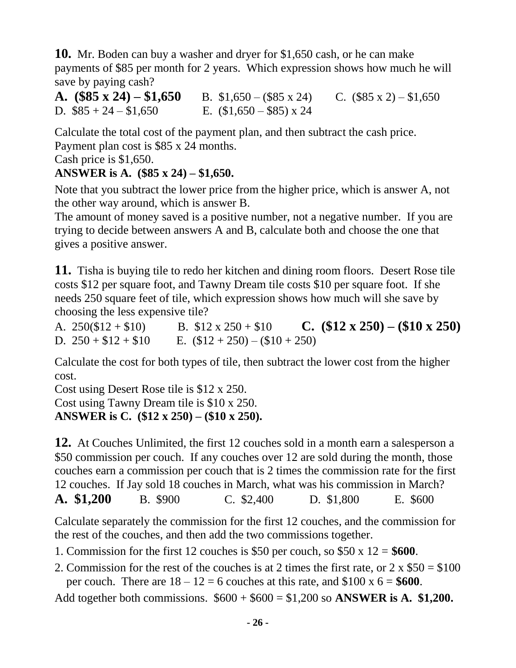**10.** Mr. Boden can buy a washer and dryer for \$1,650 cash, or he can make payments of \$85 per month for 2 years. Which expression shows how much he will save by paying cash?

**A.**  $($85 \times 24) - $1,650$  B.  $$1,650 - ($85 \times 24)$  C.  $($85 \times 2) - $1,650$ D.  $\$85 + 24 - \$1,650$  E.  $\$1,650 - \$85$  x 24

Calculate the total cost of the payment plan, and then subtract the cash price. Payment plan cost is \$85 x 24 months.

Cash price is \$1,650.

#### **ANSWER is A. (\$85 x 24) – \$1,650.**

Note that you subtract the lower price from the higher price, which is answer A, not the other way around, which is answer B.

The amount of money saved is a positive number, not a negative number. If you are trying to decide between answers A and B, calculate both and choose the one that gives a positive answer.

**11.** Tisha is buying tile to redo her kitchen and dining room floors. Desert Rose tile costs \$12 per square foot, and Tawny Dream tile costs \$10 per square foot. If she needs 250 square feet of tile, which expression shows how much will she save by choosing the less expensive tile?

A.  $250(\$12 + \$10)$  B.  $\$12 \times 250 + \$10$  **C.**  $(\$12 \times 250) - (\$10 \times 250)$ D.  $250 + $12 + $10$  E.  $($12 + 250) - ($10 + 250)$ 

Calculate the cost for both types of tile, then subtract the lower cost from the higher cost.

Cost using Desert Rose tile is \$12 x 250. Cost using Tawny Dream tile is \$10 x 250. **ANSWER is C. (\$12 x 250) – (\$10 x 250).**

**12.** At Couches Unlimited, the first 12 couches sold in a month earn a salesperson a \$50 commission per couch. If any couches over 12 are sold during the month, those couches earn a commission per couch that is 2 times the commission rate for the first 12 couches. If Jay sold 18 couches in March, what was his commission in March?

**A. \$1,200** B. \$900 C. \$2,400 D. \$1,800 E. \$600

Calculate separately the commission for the first 12 couches, and the commission for the rest of the couches, and then add the two commissions together.

1. Commission for the first 12 couches is \$50 per couch, so \$50 x 12 = **\$600**.

2. Commission for the rest of the couches is at 2 times the first rate, or  $2 \times $50 = $100$ per couch. There are  $18 - 12 = 6$  couches at this rate, and  $$100 \times 6 = $600$ .

Add together both commissions.  $$600 + $600 = $1,200$  so **ANSWER is A. \$1,200.**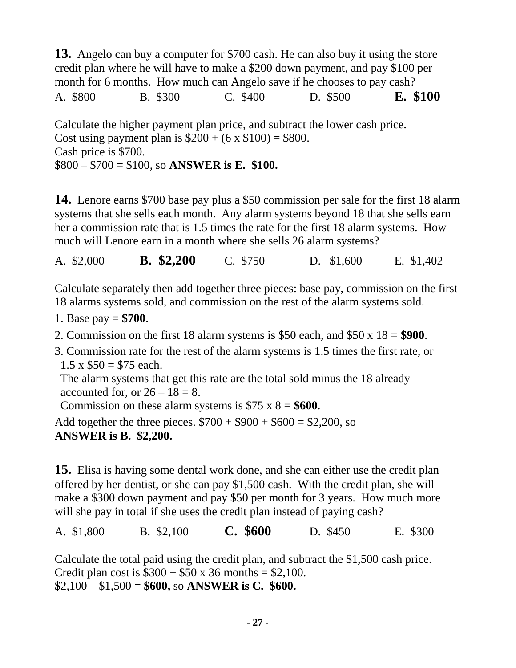**13.** Angelo can buy a computer for \$700 cash. He can also buy it using the store credit plan where he will have to make a \$200 down payment, and pay \$100 per month for 6 months. How much can Angelo save if he chooses to pay cash? A. \$800 B. \$300 C. \$400 D. \$500 **E. \$100**

Calculate the higher payment plan price, and subtract the lower cash price. Cost using payment plan is  $$200 + (6 \times $100) = $800$ . Cash price is \$700. \$800 – \$700 = \$100, so **ANSWER is E. \$100.**

**14.** Lenore earns \$700 base pay plus a \$50 commission per sale for the first 18 alarm systems that she sells each month. Any alarm systems beyond 18 that she sells earn her a commission rate that is 1.5 times the rate for the first 18 alarm systems. How much will Lenore earn in a month where she sells 26 alarm systems?

A. \$2,000 **B. \$2,200** C. \$750 D. \$1,600 E. \$1,402

Calculate separately then add together three pieces: base pay, commission on the first 18 alarms systems sold, and commission on the rest of the alarm systems sold.

- 1. Base pay = **\$700**.
- 2. Commission on the first 18 alarm systems is \$50 each, and \$50 x 18 = **\$900**.
- 3. Commission rate for the rest of the alarm systems is 1.5 times the first rate, or  $1.5 \times $50 = $75$  each.

 The alarm systems that get this rate are the total sold minus the 18 already accounted for, or  $26 - 18 = 8$ .

Commission on these alarm systems is  $$75 \times 8 = $600$ .

Add together the three pieces.  $$700 + $900 + $600 = $2,200$ , so **ANSWER is B. \$2,200.**

**15.** Elisa is having some dental work done, and she can either use the credit plan offered by her dentist, or she can pay \$1,500 cash. With the credit plan, she will make a \$300 down payment and pay \$50 per month for 3 years. How much more will she pay in total if she uses the credit plan instead of paying cash?

A. \$1,800 B. \$2,100 **C. \$600** D. \$450 E. \$300

Calculate the total paid using the credit plan, and subtract the \$1,500 cash price. Credit plan cost is  $$300 + $50 \times 36$  months = \$2,100. \$2,100 – \$1,500 = **\$600,** so **ANSWER is C. \$600.**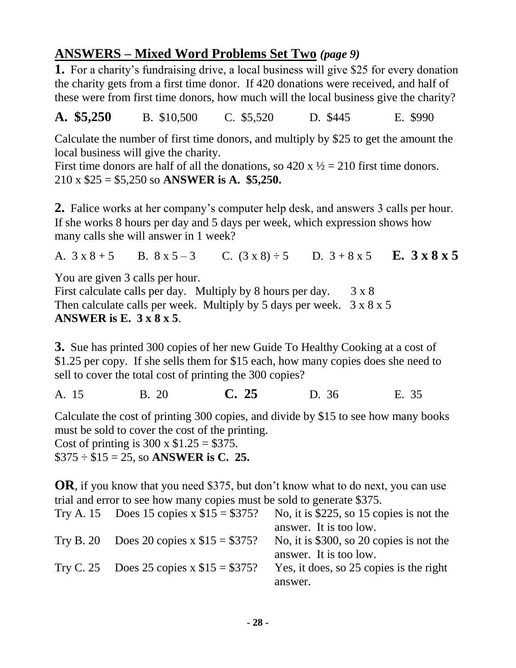### **ANSWERS – Mixed Word Problems Set Two** *(page 9)*

**1.** For a charity's fundraising drive, a local business will give \$25 for every donation the charity gets from a first time donor. If 420 donations were received, and half of these were from first time donors, how much will the local business give the charity?

**A. \$5,250** B. \$10,500 C. \$5,520 D. \$445 E. \$990

Calculate the number of first time donors, and multiply by \$25 to get the amount the local business will give the charity.

First time donors are half of all the donations, so  $420 \times \frac{1}{2} = 210$  first time donors. 210 x \$25 = \$5,250 so **ANSWER is A. \$5,250.**

**2.** Falice works at her company's computer help desk, and answers 3 calls per hour. If she works 8 hours per day and 5 days per week, which expression shows how many calls she will answer in 1 week?

A.  $3 \times 8 + 5$  B.  $8 \times 5 - 3$  C.  $(3 \times 8) \div 5$  D.  $3 + 8 \times 5$  **E.**  $3 \times 8 \times 5$ 

You are given 3 calls per hour.

First calculate calls per day. Multiply by 8 hours per day.  $3 \times 8$ Then calculate calls per week. Multiply by 5 days per week.  $3 \times 8 \times 5$ **ANSWER is E. 3 x 8 x 5**.

**3.** Sue has printed 300 copies of her new Guide To Healthy Cooking at a cost of \$1.25 per copy. If she sells them for \$15 each, how many copies does she need to sell to cover the total cost of printing the 300 copies?

A. 15 B. 20 **C. 25** D. 36 E. 35

Calculate the cost of printing 300 copies, and divide by \$15 to see how many books must be sold to cover the cost of the printing. Cost of printing is  $300 \times $1.25 = $375$ . \$375 ÷ \$15 = 25, so **ANSWER is C. 25.**

**OR**, if you know that you need \$375, but don't know what to do next, you can use trial and error to see how many copies must be sold to generate \$375.

| Try A. 15 Does 15 copies $x $15 = $375$ ? | No, it is $$225$ , so 15 copies is not the |
|-------------------------------------------|--------------------------------------------|
|                                           | answer. It is too low.                     |
| Try B. 20 Does 20 copies $x $15 = $375$ ? | No, it is \$300, so 20 copies is not the   |
|                                           | answer. It is too low.                     |
| Try C. 25 Does 25 copies x $$15 = $375$ ? | Yes, it does, so 25 copies is the right    |
|                                           | answer.                                    |
|                                           |                                            |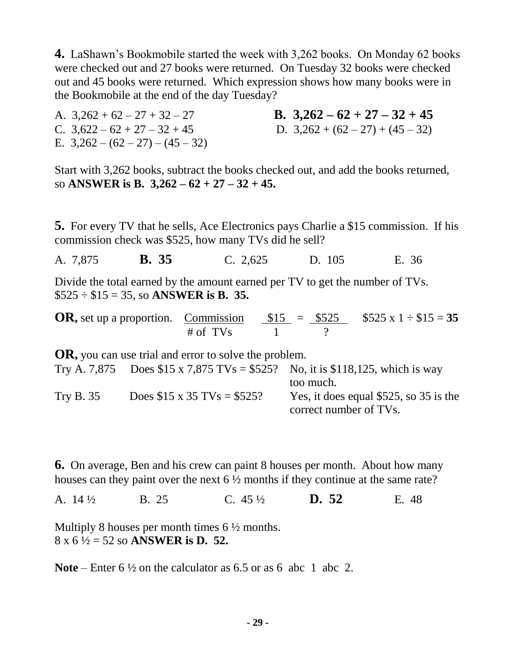**4.** LaShawn's Bookmobile started the week with 3,262 books. On Monday 62 books were checked out and 27 books were returned. On Tuesday 32 books were checked out and 45 books were returned. Which expression shows how many books were in the Bookmobile at the end of the day Tuesday?

A.  $3,262 + 62 - 27 + 32 - 27$  **B.**  $3,262 - 62 + 27 - 32 + 45$ C.  $3,622 - 62 + 27 - 32 + 45$  D.  $3,262 + (62 - 27) + (45 - 32)$ E.  $3,262 - (62 - 27) - (45 - 32)$ 

Start with 3,262 books, subtract the books checked out, and add the books returned, so **ANSWER is B. 3,262 – 62 + 27 – 32 + 45.**

**5.** For every TV that he sells, Ace Electronics pays Charlie a \$15 commission. If his commission check was \$525, how many TVs did he sell?

A. 7,875 **B. 35** C. 2,625 D. 105 E. 36

Divide the total earned by the amount earned per TV to get the number of TVs. \$525 ÷ \$15 = 35, so **ANSWER is B. 35.**

**OR**, set up a proportion. Commission  $$15 = $525$   $$525 \times 1 \div $15 = 35$  $\#$  of TVs  $1$  ?

**OR,** you can use trial and error to solve the problem. Try A. 7,875 Does  $$15 \times 7,875$  TVs = \$525? No, it is \$118,125, which is way too much. Try B. 35 Does  $$15 \times 35$  TVs = \$525? Yes, it does equal \$525, so 35 is the correct number of TVs.

**6.** On average, Ben and his crew can paint 8 houses per month. About how many houses can they paint over the next 6  $\frac{1}{2}$  months if they continue at the same rate?

A. 14 ½ B. 25 C. 45 ½ **D. 52** E. 48

Multiply 8 houses per month times 6  $\frac{1}{2}$  months. 8 x 6 ½ = 52 so **ANSWER is D. 52.**

**Note** – Enter 6 ½ on the calculator as 6.5 or as 6 abc 1 abc 2.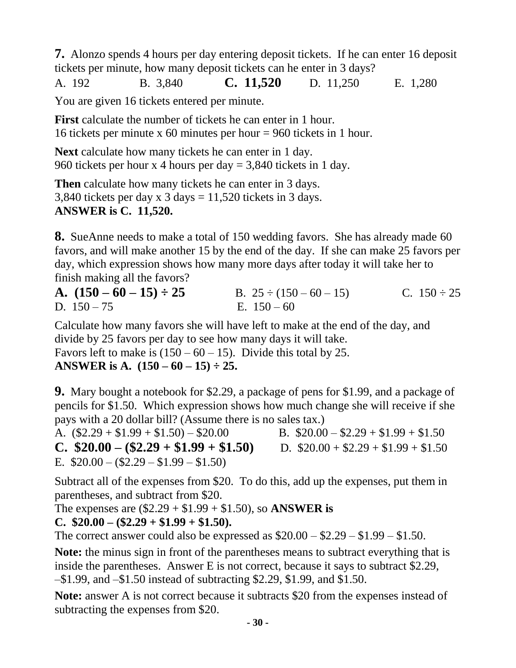**7.** Alonzo spends 4 hours per day entering deposit tickets. If he can enter 16 deposit tickets per minute, how many deposit tickets can he enter in 3 days?

A. 192 B. 3,840 **C. 11,520** D. 11,250 E. 1,280

You are given 16 tickets entered per minute.

**First** calculate the number of tickets he can enter in 1 hour. 16 tickets per minute x 60 minutes per hour = 960 tickets in 1 hour.

**Next** calculate how many tickets he can enter in 1 day. 960 tickets per hour x 4 hours per day = 3,840 tickets in 1 day.

**Then** calculate how many tickets he can enter in 3 days. 3,840 tickets per day x  $3 \text{ days} = 11,520$  tickets in  $3 \text{ days}$ . **ANSWER is C. 11,520.**

**8.** SueAnne needs to make a total of 150 wedding favors. She has already made 60 favors, and will make another 15 by the end of the day. If she can make 25 favors per day, which expression shows how many more days after today it will take her to finish making all the favors?

| A. $(150 - 60 - 15) \div 25$ | B. $25 \div (150 - 60 - 15)$ | C. $150 \div 25$ |
|------------------------------|------------------------------|------------------|
| D. $150 - 75$                | E. $150 - 60$                |                  |

Calculate how many favors she will have left to make at the end of the day, and divide by 25 favors per day to see how many days it will take.

Favors left to make is  $(150 - 60 - 15)$ . Divide this total by 25.

#### **ANSWER is A. (150 – 60 – 15) ÷ 25.**

**9.** Mary bought a notebook for \$2.29, a package of pens for \$1.99, and a package of pencils for \$1.50. Which expression shows how much change she will receive if she pays with a 20 dollar bill? (Assume there is no sales tax.)

A.  $(\$2.29 + \$1.99 + \$1.50) - \$20.00$  B.  $\$20.00 - \$2.29 + \$1.99 + \$1.50$ **C.**  $$20.00 - ($2.29 + $1.99 + $1.50)$  D.  $$20.00 + $2.29 + $1.99 + $1.50$ E.  $$20.00 - (2.29 - 1.99 - 1.50)$ 

Subtract all of the expenses from \$20. To do this, add up the expenses, put them in parentheses, and subtract from \$20.

The expenses are (\$2.29 + \$1.99 + \$1.50), so **ANSWER is** 

#### **C. \$20.00 – (\$2.29 + \$1.99 + \$1.50).**

The correct answer could also be expressed as  $$20.00 - $2.29 - $1.99 - $1.50$ .

**Note:** the minus sign in front of the parentheses means to subtract everything that is inside the parentheses. Answer E is not correct, because it says to subtract \$2.29, –\$1.99, and –\$1.50 instead of subtracting \$2.29, \$1.99, and \$1.50.

**Note:** answer A is not correct because it subtracts \$20 from the expenses instead of subtracting the expenses from \$20.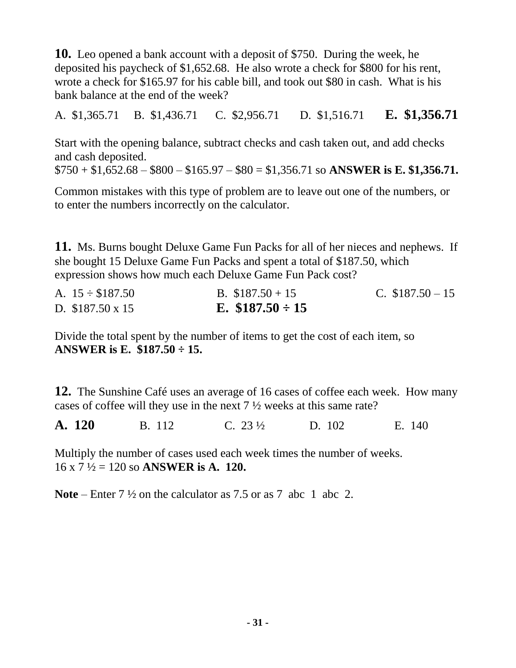**10.** Leo opened a bank account with a deposit of \$750. During the week, he deposited his paycheck of \$1,652.68. He also wrote a check for \$800 for his rent, wrote a check for \$165.97 for his cable bill, and took out \$80 in cash. What is his bank balance at the end of the week?

A. \$1,365.71 B. \$1,436.71 C. \$2,956.71 D. \$1,516.71 **E. \$1,356.71**

Start with the opening balance, subtract checks and cash taken out, and add checks and cash deposited.

 $$750 + $1,652.68 - $800 - $165.97 - $80 = $1,356.71$  so ANSWER is E. \$1,356.71.

Common mistakes with this type of problem are to leave out one of the numbers, or to enter the numbers incorrectly on the calculator.

**11.** Ms. Burns bought Deluxe Game Fun Packs for all of her nieces and nephews. If she bought 15 Deluxe Game Fun Packs and spent a total of \$187.50, which expression shows how much each Deluxe Game Fun Pack cost?

| A. $15 \div \$187.50$  | B. $$187.50 + 15$    | C. $$187.50 - 15$ |
|------------------------|----------------------|-------------------|
| D. $$187.50 \times 15$ | E. $$187.50 \div 15$ |                   |

Divide the total spent by the number of items to get the cost of each item, so **ANSWER is E. \$187.50 ÷ 15.**

**12.** The Sunshine Café uses an average of 16 cases of coffee each week. How many cases of coffee will they use in the next 7 ½ weeks at this same rate?

**A. 120** B. 112 C. 23 <sup>1</sup>/<sub>2</sub> D. 102 E. 140

Multiply the number of cases used each week times the number of weeks. 16 x 7 ½ = 120 so **ANSWER is A. 120.**

**Note** – Enter 7 ½ on the calculator as 7.5 or as 7 abc 1 abc 2.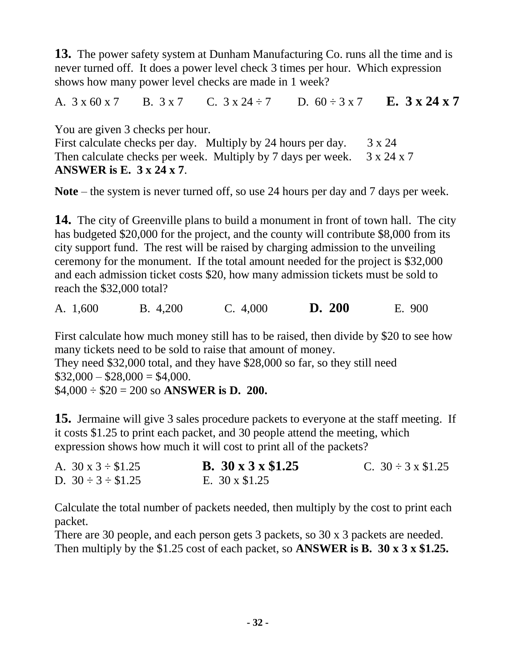**13.** The power safety system at Dunham Manufacturing Co. runs all the time and is never turned off. It does a power level check 3 times per hour. Which expression shows how many power level checks are made in 1 week?

A.  $3 \times 60 \times 7$  B.  $3 \times 7$  C.  $3 \times 24 \div 7$  D.  $60 \div 3 \times 7$  E.  $3 \times 24 \times 7$ 

You are given 3 checks per hour. First calculate checks per day. Multiply by 24 hours per day.  $3 \times 24$ Then calculate checks per week. Multiply by 7 days per week.  $3 \times 24 \times 7$ **ANSWER is E. 3 x 24 x 7**.

**Note** – the system is never turned off, so use 24 hours per day and 7 days per week.

**14.** The city of Greenville plans to build a monument in front of town hall. The city has budgeted \$20,000 for the project, and the county will contribute \$8,000 from its city support fund. The rest will be raised by charging admission to the unveiling ceremony for the monument. If the total amount needed for the project is \$32,000 and each admission ticket costs \$20, how many admission tickets must be sold to reach the \$32,000 total?

A. 1,600 B. 4,200 C. 4,000 **D. 200** E. 900

First calculate how much money still has to be raised, then divide by \$20 to see how many tickets need to be sold to raise that amount of money. They need \$32,000 total, and they have \$28,000 so far, so they still need  $$32,000 - $28,000 = $4,000.$ \$4,000 ÷ \$20 = 200 so **ANSWER is D. 200.**

**15.** Jermaine will give 3 sales procedure packets to everyone at the staff meeting. If it costs \$1.25 to print each packet, and 30 people attend the meeting, which expression shows how much it will cost to print all of the packets?

| A. $30 \times 3 \div $1.25$ | B. $30 \times 3 \times $1.25$ | C. $30 \div 3 \times \$1.25$ |
|-----------------------------|-------------------------------|------------------------------|
| D. $30 \div 3 \div $1.25$   | E. $30 \times \$1.25$         |                              |

Calculate the total number of packets needed, then multiply by the cost to print each packet.

There are 30 people, and each person gets 3 packets, so 30 x 3 packets are needed. Then multiply by the \$1.25 cost of each packet, so **ANSWER is B. 30 x 3 x \$1.25.**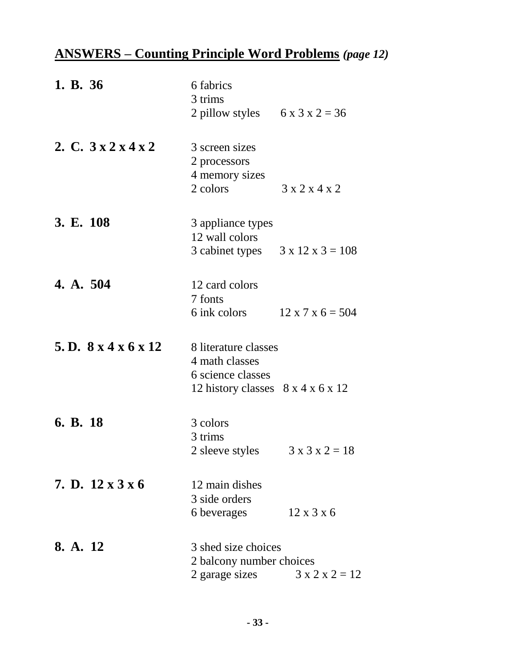# **ANSWERS – Counting Principle Word Problems** *(page 12)*

| 1. B. 36                              | 6 fabrics<br>3 trims<br>2 pillow styles $6 \times 3 \times 2 = 36$                                                |                              |
|---------------------------------------|-------------------------------------------------------------------------------------------------------------------|------------------------------|
| 2. C. $3x2x4x2$                       | 3 screen sizes<br>2 processors<br>4 memory sizes<br>2 colors                                                      | 3x2x4x2                      |
| 3. E. 108                             | 3 appliance types<br>12 wall colors<br>3 cabinet types $3 \times 12 \times 3 = 108$                               |                              |
| 4. A. 504                             | 12 card colors<br>7 fonts<br>6 ink colors                                                                         | $12 \times 7 \times 6 = 504$ |
| 5. D. $8 \times 4 \times 6 \times 12$ | 8 literature classes<br>4 math classes<br>6 science classes<br>12 history classes $8 \times 4 \times 6 \times 12$ |                              |
| 6. B. 18                              | 3 colors<br>3 trims<br>2 sleeve styles                                                                            | $3 \times 3 \times 2 = 18$   |
| 7. D. $12 \times 3 \times 6$          | 12 main dishes<br>3 side orders<br>6 beverages                                                                    | $12 \times 3 \times 6$       |
| 8. A. 12                              | 3 shed size choices<br>2 balcony number choices<br>2 garage sizes $3 \times 2 \times 2 = 12$                      |                              |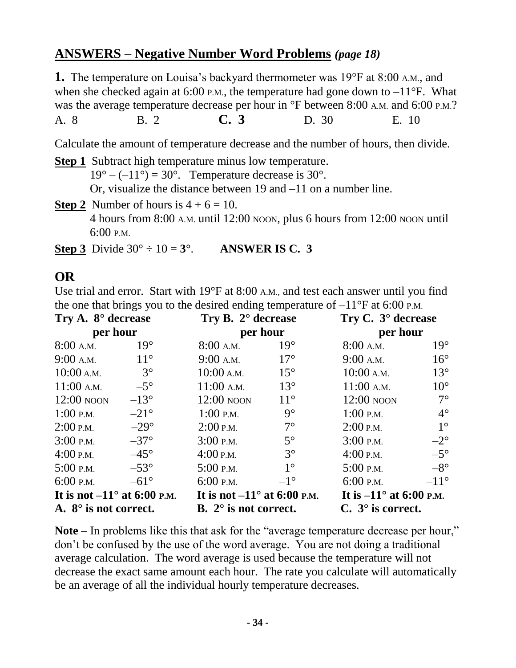#### **ANSWERS – Negative Number Word Problems** *(page 18)*

**1.** The temperature on Louisa's backyard thermometer was 19°F at 8:00 A.M., and when she checked again at 6:00 P.M., the temperature had gone down to  $-11^{\circ}$ F. What was the average temperature decrease per hour in °F between 8:00 A.M. and 6:00 P.M.?

A. 8 B. 2 **C. 3** D. 30 E. 10

Calculate the amount of temperature decrease and the number of hours, then divide.

**Step 1** Subtract high temperature minus low temperature.  $19^{\circ} - (-11^{\circ}) = 30^{\circ}$ . Temperature decrease is 30°. Or, visualize the distance between 19 and –11 on a number line.

- **Step 2** Number of hours is  $4 + 6 = 10$ . 4 hours from 8:00 A.M. until 12:00 NOON, plus 6 hours from 12:00 NOON until 6:00 P.M.
- **Step 3** Divide  $30^{\circ} \div 10 = 3^{\circ}$ . **ANSWER IS C. 3**

# **OR**

Use trial and error. Start with 19°F at 8:00 A.M., and test each answer until you find the one that brings you to the desired ending temperature of  $-11^{\circ}$ F at 6:00 P.M.

| Try A. $8^{\circ}$ decrease        |               | Try B. $2^{\circ}$ decrease        | Try C. $3^\circ$ decrease |                                  |               |
|------------------------------------|---------------|------------------------------------|---------------------------|----------------------------------|---------------|
| per hour                           |               | per hour                           |                           | per hour                         |               |
| $8:00$ A.M.                        | $19^\circ$    | $8:00$ A.M.                        | $19^\circ$                | $8:00$ A.M.                      | $19^\circ$    |
| $9:00$ A.M.                        | $11^{\circ}$  | $9:00$ A.M.                        | $17^{\circ}$              | $9:00$ A.M.                      | $16^{\circ}$  |
| $10:00$ A.M.                       | $3^\circ$     | $10:00$ A.M.                       | $15^{\circ}$              | $10:00$ A.M.                     | $13^\circ$    |
| $11:00$ A.M.                       | $-5^\circ$    | $11:00$ A.M.                       | $13^\circ$                | $11:00$ A.M.                     | $10^{\circ}$  |
| $12:00$ NOON                       | $-13^{\circ}$ | $12:00$ NOON                       | $11^{\circ}$              | $12:00$ NOON                     | $7^\circ$     |
| $1:00$ P.M.                        | $-21^{\circ}$ | $1:00$ P.M.                        | $9^\circ$                 | $1:00$ P.M.                      | $4^\circ$     |
| $2:00$ P.M.                        | $-29^\circ$   | $2:00$ P.M.                        | $7^\circ$                 | $2:00$ P.M.                      | $1^{\circ}$   |
| $3:00$ P.M.                        | $-37^\circ$   | $3:00$ P.M.                        | $5^\circ$                 | $3:00$ P.M.                      | $-2^{\circ}$  |
| $4:00$ P.M.                        | $-45^\circ$   | $4:00$ P.M.                        | $3^\circ$                 | $4:00$ P.M.                      | $-5^\circ$    |
| $5:00$ P.M.                        | $-53^\circ$   | $5:00$ P.M.                        | $1^{\circ}$               | $5:00$ P.M.                      | $-8^{\circ}$  |
| $6:00$ P.M.                        | $-61^{\circ}$ | 6:00 P.M.                          | $-1^{\circ}$              | $6:00$ P.M.                      | $-11^{\circ}$ |
| It is not $-11^\circ$ at 6:00 p.m. |               | It is not $-11^\circ$ at 6:00 P.M. |                           | It is $-11^{\circ}$ at 6:00 p.m. |               |
| A. $8^\circ$ is not correct.       |               | B. $2^{\circ}$ is not correct.     |                           | $C. 3^\circ$ is correct.         |               |

**Note** – In problems like this that ask for the "average temperature decrease per hour," don't be confused by the use of the word average. You are not doing a traditional average calculation. The word average is used because the temperature will not decrease the exact same amount each hour. The rate you calculate will automatically be an average of all the individual hourly temperature decreases.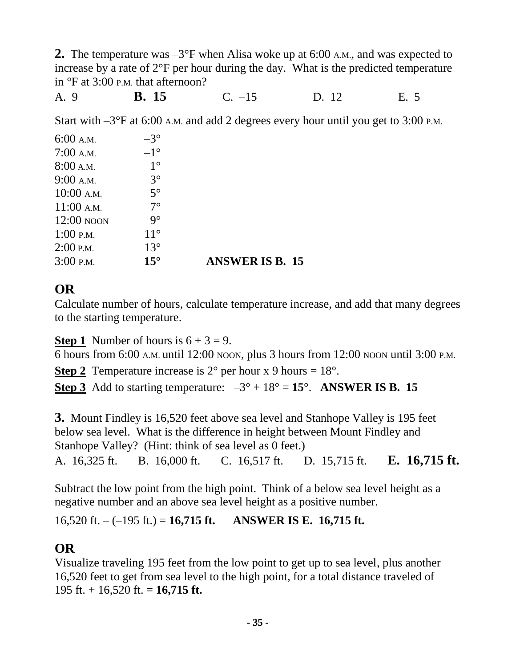**2.** The temperature was –3°F when Alisa woke up at 6:00 A.M., and was expected to increase by a rate of 2°F per hour during the day. What is the predicted temperature in °F at 3:00 P.M. that afternoon?

A. 9 **B. 15** C. –15 D. 12 E. 5

Start with –3°F at 6:00 A.M. and add 2 degrees every hour until you get to 3:00 P.M.

| $6:00$ A.M.  | $-3^\circ$   |                        |
|--------------|--------------|------------------------|
| $7:00$ A.M.  | $-1^{\circ}$ |                        |
| 8:00 A.M.    | $1^{\circ}$  |                        |
| $9:00$ A.M.  | $3^\circ$    |                        |
| $10:00$ A.M. | $5^\circ$    |                        |
| $11:00$ A.M. | $7^\circ$    |                        |
| $12:00$ NOON | $9^\circ$    |                        |
| $1:00$ P.M.  | $11^{\circ}$ |                        |
| $2:00$ P.M.  | $13^{\circ}$ |                        |
| $3:00$ P.M.  | $15^{\circ}$ | <b>ANSWER IS B. 15</b> |

### **OR**

Calculate number of hours, calculate temperature increase, and add that many degrees to the starting temperature.

**Step 1** Number of hours is  $6 + 3 = 9$ .

6 hours from 6:00 A.M. until 12:00 NOON, plus 3 hours from 12:00 NOON until 3:00 P.M.

**Step 2** Temperature increase is  $2^{\circ}$  per hour x 9 hours =  $18^{\circ}$ .

**Step 3** Add to starting temperature:  $-3^\circ + 18^\circ = 15^\circ$ . **ANSWER IS B. 15** 

**3.** Mount Findley is 16,520 feet above sea level and Stanhope Valley is 195 feet below sea level. What is the difference in height between Mount Findley and Stanhope Valley? (Hint: think of sea level as 0 feet.) A. 16,325 ft. B. 16,000 ft. C. 16,517 ft. D. 15,715 ft. **E. 16,715 ft.**

Subtract the low point from the high point. Think of a below sea level height as a negative number and an above sea level height as a positive number.

16,520 ft. – (–195 ft.) = **16,715 ft. ANSWER IS E. 16,715 ft.**

# **OR**

Visualize traveling 195 feet from the low point to get up to sea level, plus another 16,520 feet to get from sea level to the high point, for a total distance traveled of 195 ft. + 16,520 ft. = **16,715 ft.**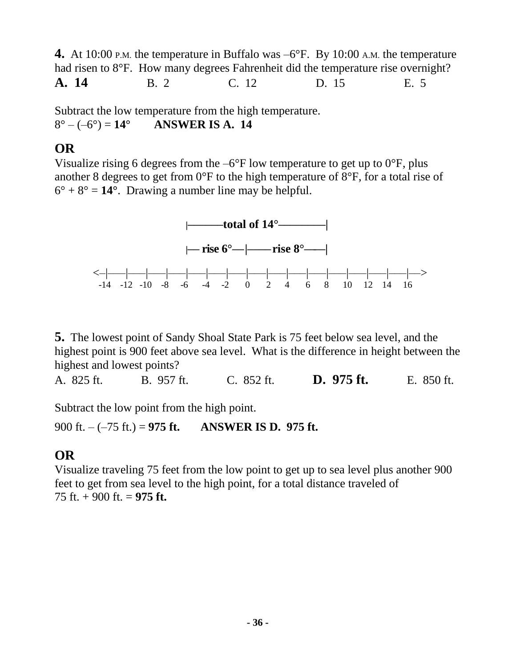**4.** At 10:00 P.M. the temperature in Buffalo was  $-6^{\circ}$ F. By 10:00 A.M. the temperature had risen to 8<sup>o</sup>F. How many degrees Fahrenheit did the temperature rise overnight? **A. 14** B. 2 C. 12 D. 15 E. 5

Subtract the low temperature from the high temperature.  $8^{\circ} - (-6^{\circ}) = 14^{\circ}$  **ANSWER IS A. 14** 

#### **OR**

Visualize rising 6 degrees from the  $-6^{\circ}$ F low temperature to get up to  $0^{\circ}$ F, plus another 8 degrees to get from 0°F to the high temperature of 8°F, for a total rise of  $6^\circ + 8^\circ = 14^\circ$ . Drawing a number line may be helpful.



**5.** The lowest point of Sandy Shoal State Park is 75 feet below sea level, and the highest point is 900 feet above sea level. What is the difference in height between the highest and lowest points?

A. 825 ft. B. 957 ft. C. 852 ft. **D. 975 ft.** E. 850 ft.

Subtract the low point from the high point.

900 ft. – (–75 ft.) = **975 ft. ANSWER IS D. 975 ft.**

# **OR**

Visualize traveling 75 feet from the low point to get up to sea level plus another 900 feet to get from sea level to the high point, for a total distance traveled of 75 ft. + 900 ft. = **975 ft.**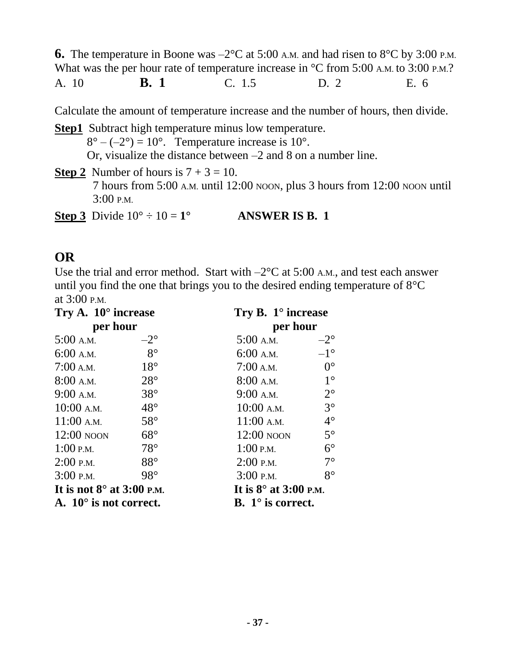**6.** The temperature in Boone was  $-2^{\circ}$ C at 5:00 A.M. and had risen to  $8^{\circ}$ C by 3:00 P.M. What was the per hour rate of temperature increase in  $\degree C$  from 5:00 A.M. to 3:00 P.M.? A. 10 **B. 1** C. 1.5 D. 2 E. 6

Calculate the amount of temperature increase and the number of hours, then divide.

**Step1** Subtract high temperature minus low temperature.  $8^{\circ} - (-2^{\circ}) = 10^{\circ}$ . Temperature increase is 10°. Or, visualize the distance between –2 and 8 on a number line.

**Step 2** Number of hours is  $7 + 3 = 10$ .

 7 hours from 5:00 A.M. until 12:00 NOON, plus 3 hours from 12:00 NOON until 3:00 P.M.

**Step 3** Divide  $10^{\circ} \div 10 = 1^{\circ}$  **ANSWER IS B. 1** 

#### **OR**

Use the trial and error method. Start with  $-2^{\circ}$ C at 5:00 A.M., and test each answer until you find the one that brings you to the desired ending temperature of 8°C at 3:00 P.M.

| Try A. $10^{\circ}$ increase<br>per hour |              | Try B. $1^\circ$ increase       |              |
|------------------------------------------|--------------|---------------------------------|--------------|
|                                          |              | per hour                        |              |
| 5:00 A.M.                                | $-2^{\circ}$ | $5:00$ A.M.                     | $-2^{\circ}$ |
| $6:00$ A.M.                              | $8^\circ$    | $6:00$ A.M.                     | $-1^{\circ}$ |
| 7:00 A.M.                                | $18^\circ$   | $7:00$ A.M.                     | $0^{\circ}$  |
| $8:00$ A.M.                              | $28^\circ$   | $8:00$ A.M.                     | $1^{\circ}$  |
| $9:00$ A.M.                              | $38^\circ$   | $9:00$ A.M.                     | $2^{\circ}$  |
| $10:00$ A.M.                             | $48^\circ$   | $10:00$ A.M.                    | $3^\circ$    |
| $11:00$ A.M.                             | $58^\circ$   | $11:00$ A.M.                    | $4^\circ$    |
| $12:00$ noon                             | $68^\circ$   | $12:00$ NOON                    | $5^\circ$    |
| $1:00$ P.M.                              | $78^\circ$   | $1:00$ P.M.                     | $6^{\circ}$  |
| $2:00$ P.M.                              | $88^\circ$   | $2:00$ P.M.                     | $7^\circ$    |
| $3:00$ P.M.                              | 98°          | $3:00$ P.M.                     | $8^{\circ}$  |
| It is not $8^\circ$ at 3:00 P.M.         |              | It is $8^\circ$ at 3:00 p.m.    |              |
| A. $10^{\circ}$ is not correct.          |              | <b>B.</b> $1^\circ$ is correct. |              |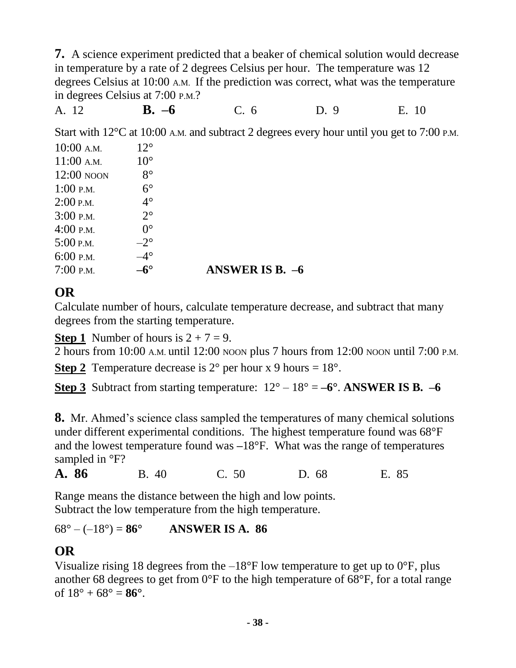**7.** A science experiment predicted that a beaker of chemical solution would decrease in temperature by a rate of 2 degrees Celsius per hour. The temperature was 12 degrees Celsius at 10:00 A.M. If the prediction was correct, what was the temperature in degrees Celsius at 7:00 P.M.?

A. 12 **B. –6** C. 6 D. 9 E. 10

Start with 12<sup>o</sup>C at 10:00 A.M. and subtract 2 degrees every hour until you get to 7:00 P.M.

| $10:00$ A.M. | $12^{\circ}$ |                        |
|--------------|--------------|------------------------|
| $11:00$ A.M. | $10^{\circ}$ |                        |
| $12:00$ NOON | $8^{\circ}$  |                        |
| $1:00$ P.M.  | $6^{\circ}$  |                        |
| $2:00$ P.M.  | $4^\circ$    |                        |
| $3:00$ P.M.  | $2^{\circ}$  |                        |
| $4:00$ P.M.  | $0^{\circ}$  |                        |
| $5:00$ P.M.  | $-2^{\circ}$ |                        |
| $6:00$ P.M.  | $4^\circ$    |                        |
| $7:00$ P.M.  | $-6^\circ$   | <b>ANSWER IS B. -6</b> |

#### **OR**

Calculate number of hours, calculate temperature decrease, and subtract that many degrees from the starting temperature.

**Step 1** Number of hours is  $2 + 7 = 9$ .

2 hours from 10:00 A.M. until 12:00 NOON plus 7 hours from 12:00 NOON until 7:00 P.M.

**Step 2** Temperature decrease is  $2^{\circ}$  per hour x 9 hours =  $18^{\circ}$ .

**Step 3** Subtract from starting temperature:  $12^{\circ} - 18^{\circ} = -6^{\circ}$ . **ANSWER IS B.**  $-6$ 

**8.** Mr. Ahmed's science class sampled the temperatures of many chemical solutions under different experimental conditions. The highest temperature found was 68°F and the lowest temperature found was **–**18°F. What was the range of temperatures sampled in  $\degree$ F?

**A. 86** B. 40 C. 50 D. 68 E. 85

Range means the distance between the high and low points. Subtract the low temperature from the high temperature.

#### $68^{\circ} - (-18^{\circ}) = 86^{\circ}$  **ANSWER IS A. 86**

# **OR**

Visualize rising 18 degrees from the  $-18^{\circ}$ F low temperature to get up to  $0^{\circ}$ F, plus another 68 degrees to get from 0°F to the high temperature of 68°F, for a total range of 18° + 68° = **86°**.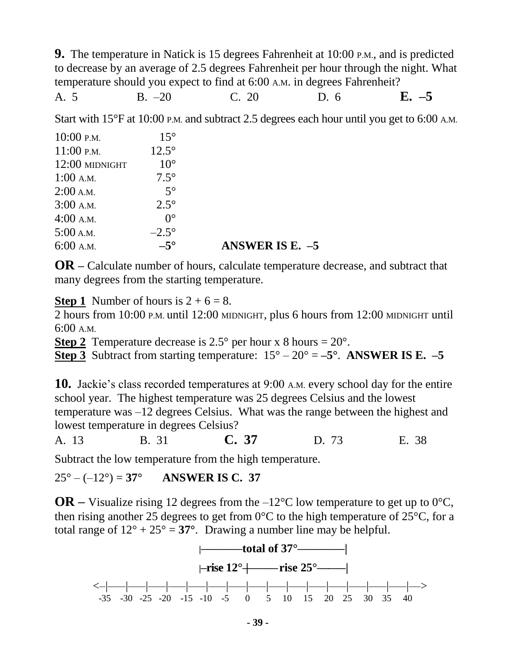**9.** The temperature in Natick is 15 degrees Fahrenheit at 10:00 P.M., and is predicted to decrease by an average of 2.5 degrees Fahrenheit per hour through the night. What temperature should you expect to find at 6:00 A.M. in degrees Fahrenheit?

A. 5 B. –20 C. 20 D. 6 **E. –5**

Start with 15°F at 10:00 P.M. and subtract 2.5 degrees each hour until you get to 6:00 A.M.

| $10:00$ P.M.   | $15^{\circ}$ |                   |
|----------------|--------------|-------------------|
| $11:00$ P.M.   | $12.5^\circ$ |                   |
| 12:00 MIDNIGHT | $10^{\circ}$ |                   |
| $1:00$ A.M.    | $7.5^\circ$  |                   |
| $2:00$ A.M.    | $5^\circ$    |                   |
| $3:00$ A.M.    | $2.5^\circ$  |                   |
| $4:00$ A.M.    | $0^{\circ}$  |                   |
| $5:00$ A.M.    | $-2.5^\circ$ |                   |
| $6:00$ A.M.    | $-5^\circ$   | ANSWER IS E. $-5$ |

**OR –** Calculate number of hours, calculate temperature decrease, and subtract that many degrees from the starting temperature.

**Step 1** Number of hours is  $2 + 6 = 8$ .

2 hours from 10:00 P.M. until 12:00 MIDNIGHT, plus 6 hours from 12:00 MIDNIGHT until 6:00 A.M.

**Step 2** Temperature decrease is  $2.5^{\circ}$  per hour x 8 hours =  $20^{\circ}$ .

**Step 3** Subtract from starting temperature:  $15^{\circ} - 20^{\circ} = -5^{\circ}$ . **ANSWER IS E.**  $-5$ 

**10.** Jackie's class recorded temperatures at 9:00 A.M. every school day for the entire school year. The highest temperature was 25 degrees Celsius and the lowest temperature was –12 degrees Celsius. What was the range between the highest and lowest temperature in degrees Celsius?

A. 13 B. 31 **C. 37** D. 73 E. 38

Subtract the low temperature from the high temperature.

 $25^{\circ} - (-12^{\circ}) = 37^{\circ}$  **ANSWER IS C. 37** 

**OR** – Visualize rising 12 degrees from the –12<sup>o</sup>C low temperature to get up to 0<sup>o</sup>C, then rising another 25 degrees to get from  $0^{\circ}$ C to the high temperature of 25 $^{\circ}$ C, for a total range of  $12^{\circ} + 25^{\circ} = 37^{\circ}$ . Drawing a number line may be helpful.

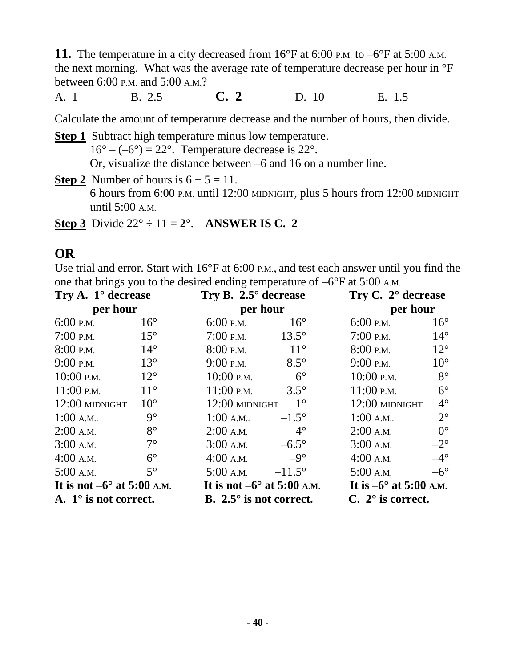**11.** The temperature in a city decreased from 16°F at 6:00 P.M. to –6°F at 5:00 A.M. the next morning. What was the average rate of temperature decrease per hour in °F between 6:00 P.M. and 5:00 A.M.?

A. 1 B. 2.5 **C. 2** D. 10 E. 1.5

Calculate the amount of temperature decrease and the number of hours, then divide.

**Step 1** Subtract high temperature minus low temperature.  $16^{\circ} - (-6^{\circ}) = 22^{\circ}$ . Temperature decrease is 22°. Or, visualize the distance between –6 and 16 on a number line.

**Step 2** Number of hours is  $6 + 5 = 11$ . 6 hours from 6:00 P.M. until 12:00 MIDNIGHT, plus 5 hours from 12:00 MIDNIGHT until 5:00 A.M.

**Step 3** Divide  $22^{\circ} \div 11 = 2^{\circ}$ . **ANSWER IS C. 2** 

#### **OR**

Use trial and error. Start with 16°F at 6:00 P.M., and test each answer until you find the one that brings you to the desired ending temperature of –6°F at 5:00 A.M.

| Try A. $1^{\circ}$ decrease<br>per hour |              | Try B. 2.5° decrease<br>per hour    |                 | Try C. $2^{\circ}$ decrease<br>per hour |              |
|-----------------------------------------|--------------|-------------------------------------|-----------------|-----------------------------------------|--------------|
|                                         |              |                                     |                 |                                         |              |
| $7:00$ P.M.                             | $15^{\circ}$ | $7:00$ P.M.                         | $13.5^\circ$    | $7:00$ P.M.                             | $14^{\circ}$ |
| $8:00$ P.M.                             | $14^\circ$   | $8:00$ P.M.                         | $11^{\circ}$    | $8:00$ P.M.                             | $12^{\circ}$ |
| $9:00$ P.M.                             | $13^\circ$   | $9:00$ P.M.                         | $8.5^\circ$     | $9:00$ P.M.                             | $10^{\circ}$ |
| $10:00$ P.M.                            | $12^{\circ}$ | 10:00 P.M.                          | $6^{\circ}$     | $10:00$ P.M.                            | $8^{\circ}$  |
| $11:00$ P.M.                            | $11^{\circ}$ | $11:00$ P.M.                        | $3.5^\circ$     | $11:00$ P.M.                            | $6^{\circ}$  |
| 12:00 MIDNIGHT                          | $10^{\circ}$ | 12:00 MIDNIGHT                      | $1^{\circ}$     | 12:00 MIDNIGHT                          | $4^\circ$    |
| $1:00$ A.M                              | $9^\circ$    | $1:00$ A.M                          | $-1.5^\circ$    | $1:00$ A.M                              | $2^{\circ}$  |
| $2:00$ A.M.                             | $8^{\circ}$  | $2:00$ A.M.                         | $-4^\circ$      | $2:00$ A.M.                             | $0^{\circ}$  |
| $3:00$ A.M.                             | $7^\circ$    | $3:00$ A.M.                         | $-6.5^\circ$    | $3:00$ A.M.                             | $-2^{\circ}$ |
| $4:00$ A.M.                             | $6^{\circ}$  | $4:00$ A.M.                         | $-9^\circ$      | $4:00$ A.M.                             | $-4^\circ$   |
| $5:00$ A.M.                             | $5^\circ$    | $5:00$ A.M.                         | $-11.5^{\circ}$ | $5:00$ A.M.                             | $-6^\circ$   |
| It is not $-6^{\circ}$ at 5:00 A.M.     |              | It is not $-6^{\circ}$ at 5:00 A.M. |                 | It is $-6^{\circ}$ at 5:00 A.M.         |              |
| A. $1^\circ$ is not correct.            |              | B. $2.5^{\circ}$ is not correct.    |                 | $C. 2^{\circ}$ is correct.              |              |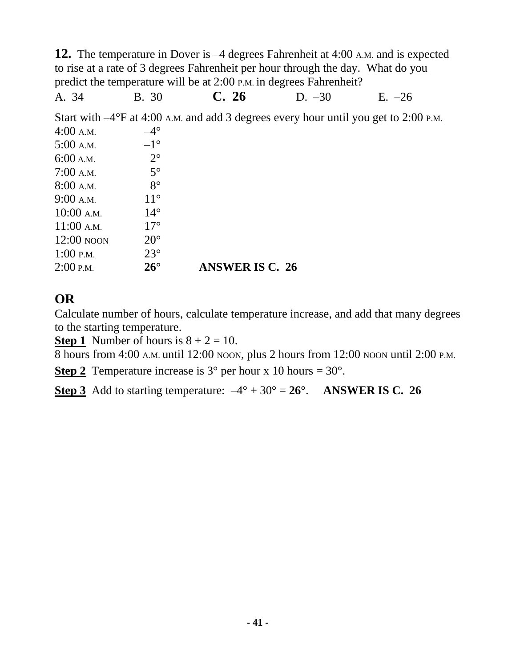**12.** The temperature in Dover is –4 degrees Fahrenheit at 4:00 A.M. and is expected to rise at a rate of 3 degrees Fahrenheit per hour through the day. What do you predict the temperature will be at 2:00 P.M. in degrees Fahrenheit?

A. 34 B. 30 **C. 26** D. –30 E. –26

Start with –4°F at 4:00 A.M. and add 3 degrees every hour until you get to 2:00 P.M.

| $4:00$ A.M.  | $-4^\circ$   |                        |
|--------------|--------------|------------------------|
| $5:00$ A.M.  | $-1^{\circ}$ |                        |
| 6:00 A.M.    | $2^{\circ}$  |                        |
| $7:00$ A.M.  | $5^\circ$    |                        |
| $8:00$ A.M.  | $8^\circ$    |                        |
| 9:00 A.M.    | $11^{\circ}$ |                        |
| $10:00$ A.M. | $14^{\circ}$ |                        |
| $11:00$ A.M. | $17^\circ$   |                        |
| $12:00$ NOON | $20^{\circ}$ |                        |
| $1:00$ P.M.  | $23^\circ$   |                        |
| $2:00$ P.M.  | $26^{\circ}$ | <b>ANSWER IS C. 26</b> |

## **OR**

Calculate number of hours, calculate temperature increase, and add that many degrees to the starting temperature.

**Step 1** Number of hours is  $8 + 2 = 10$ .

8 hours from 4:00 A.M. until 12:00 NOON, plus 2 hours from 12:00 NOON until 2:00 P.M.

**Step 2** Temperature increase is  $3^{\circ}$  per hour x 10 hours =  $30^{\circ}$ .

**Step 3** Add to starting temperature:  $-4^{\circ} + 30^{\circ} = 26^{\circ}$ . **ANSWER IS C. 26**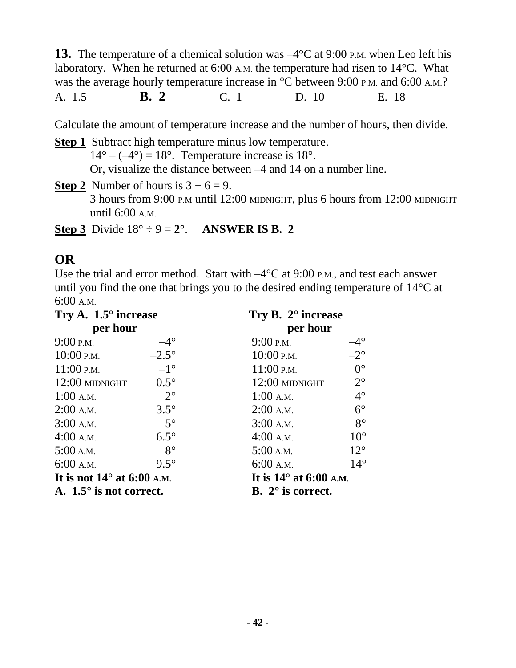**13.** The temperature of a chemical solution was  $-4^{\circ}$ C at 9:00 P.M. when Leo left his laboratory. When he returned at 6:00 A.M. the temperature had risen to 14°C. What was the average hourly temperature increase in  $\mathrm{^{\circ}C}$  between 9:00 p.m. and 6:00 A.M.? A. 1.5 **B. 2** C. 1 D. 10 E. 18

Calculate the amount of temperature increase and the number of hours, then divide.

**Step 1** Subtract high temperature minus low temperature.  $14^{\circ} - (-4^{\circ}) = 18^{\circ}$ . Temperature increase is 18°. Or, visualize the distance between –4 and 14 on a number line.

**Step 2** Number of hours is  $3 + 6 = 9$ . 3 hours from 9:00 P.M until 12:00 MIDNIGHT, plus 6 hours from 12:00 MIDNIGHT until 6:00 A.M.

**Step 3** Divide  $18^{\circ} \div 9 = 2^{\circ}$ . **ANSWER IS B. 2** 

#### **OR**

Use the trial and error method. Start with  $-4^{\circ}$ C at 9:00 P.M., and test each answer until you find the one that brings you to the desired ending temperature of 14°C at 6:00 A.M.

| Try A. $1.5^{\circ}$ increase<br>per hour |              | Try B. $2^{\circ}$ increase<br>per hour |              |  |
|-------------------------------------------|--------------|-----------------------------------------|--------------|--|
|                                           |              |                                         |              |  |
| $10:00$ P.M.                              | $-2.5^\circ$ | $10:00$ P.M.                            | $-2^{\circ}$ |  |
| $11:00$ P.M.                              | $-1^{\circ}$ | $11:00$ P.M.                            | $0^{\circ}$  |  |
| 12:00 MIDNIGHT                            | $0.5^\circ$  | 12:00 MIDNIGHT                          | $2^{\circ}$  |  |
| $1:00$ A.M.                               | $2^{\circ}$  | $1:00$ A.M.                             | $4^\circ$    |  |
| $2:00$ A.M.                               | $3.5^\circ$  | $2:00$ A.M.                             | $6^{\circ}$  |  |
| $3:00$ A.M.                               | $5^\circ$    | $3:00$ A.M.                             | $8^{\circ}$  |  |
| $4:00$ A.M.                               | $6.5^\circ$  | $4:00$ A.M.                             | $10^{\circ}$ |  |
| 5:00 A.M.                                 | $8^{\circ}$  | 5:00 A.M.                               | $12^{\circ}$ |  |
| $6:00$ A.M.                               | $9.5^\circ$  | $6:00$ A.M.                             | $14^\circ$   |  |
| It is not $14^{\circ}$ at 6:00 A.M.       |              | It is $14^\circ$ at 6:00 A.M.           |              |  |
| A. $1.5^{\circ}$ is not correct.          |              | <b>B.</b> $2^{\circ}$ is correct.       |              |  |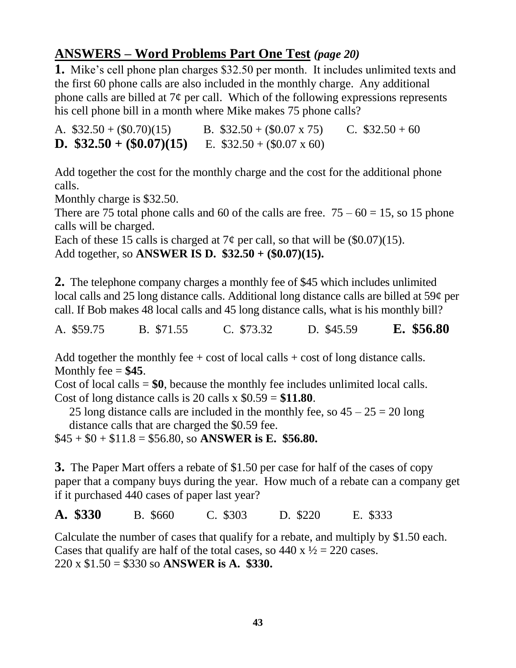## **ANSWERS – Word Problems Part One Test** *(page 20)*

**1.** Mike's cell phone plan charges \$32.50 per month. It includes unlimited texts and the first 60 phone calls are also included in the monthly charge. Any additional phone calls are billed at  $7¢$  per call. Which of the following expressions represents his cell phone bill in a month where Mike makes 75 phone calls?

A.  $$32.50 + (0.70)(15)$  B.  $$32.50 + (0.07 \times 75)$  C.  $$32.50 + 60$ **D.**  $$32.50 + (\$0.07)(15)$  E.  $$32.50 + (\$0.07 \times 60)$ 

Add together the cost for the monthly charge and the cost for the additional phone calls.

Monthly charge is \$32.50.

There are 75 total phone calls and 60 of the calls are free.  $75 - 60 = 15$ , so 15 phone calls will be charged.

Each of these 15 calls is charged at  $7¢$  per call, so that will be (\$0.07)(15). Add together, so **ANSWER IS D. \$32.50 + (\$0.07)(15).**

**2.** The telephone company charges a monthly fee of \$45 which includes unlimited local calls and 25 long distance calls. Additional long distance calls are billed at 59¢ per call. If Bob makes 48 local calls and 45 long distance calls, what is his monthly bill?

A. \$59.75 B. \$71.55 C. \$73.32 D. \$45.59 **E. \$56.80**

Add together the monthly fee  $+ \cos t$  of local calls  $+ \cos t$  of long distance calls. Monthly fee  $= $45$ .

Cost of local calls = **\$0**, because the monthly fee includes unlimited local calls. Cost of long distance calls is 20 calls x  $$0.59 = $11.80$ .

25 long distance calls are included in the monthly fee, so  $45 - 25 = 20$  long distance calls that are charged the \$0.59 fee.

\$45 + \$0 + \$11.8 = \$56.80, so **ANSWER is E. \$56.80.**

**3.** The Paper Mart offers a rebate of \$1.50 per case for half of the cases of copy paper that a company buys during the year. How much of a rebate can a company get if it purchased 440 cases of paper last year?

**A. \$330** B. \$660 C. \$303 D. \$220 E. \$333

Calculate the number of cases that qualify for a rebate, and multiply by \$1.50 each. Cases that qualify are half of the total cases, so  $440 \times \frac{1}{2} = 220$  cases. 220 x \$1.50 = \$330 so **ANSWER is A. \$330.**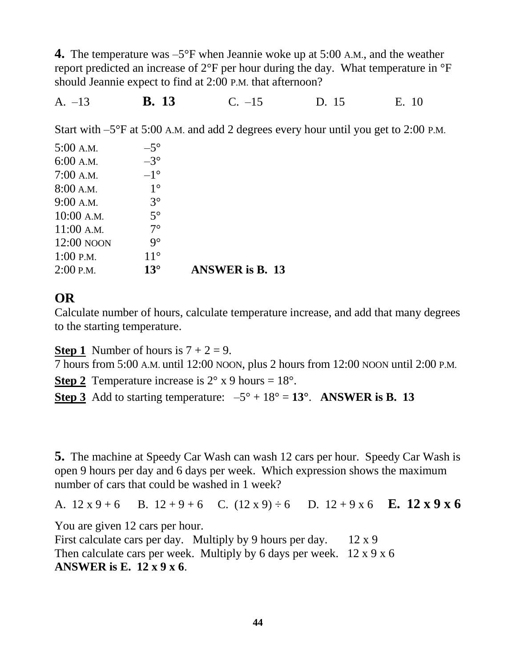**4.** The temperature was –5°F when Jeannie woke up at 5:00 A.M., and the weather report predicted an increase of 2°F per hour during the day. What temperature in °F should Jeannie expect to find at 2:00 P.M. that afternoon?

A. –13 **B. 13** C. –15 D. 15 E. 10

Start with –5°F at 5:00 A.M. and add 2 degrees every hour until you get to 2:00 P.M.

| $5:00$ A.M.  | $-5^\circ$   |                                |
|--------------|--------------|--------------------------------|
| $6:00$ A.M.  | $-3^\circ$   |                                |
| $7:00$ A.M.  | $-1^{\circ}$ |                                |
| 8:00 A.M.    | $1^{\circ}$  |                                |
| 9:00 A.M.    | $3^{\circ}$  |                                |
| $10:00$ A.M. | $5^\circ$    |                                |
| 11:00 A.M.   | $7^\circ$    |                                |
| 12:00 NOON   | $9^\circ$    |                                |
| $1:00$ P.M.  | $11^{\circ}$ |                                |
| $2:00$ P.M.  | $13^\circ$   | <b>ANSWER</b> is <b>B</b> . 13 |

#### **OR**

Calculate number of hours, calculate temperature increase, and add that many degrees to the starting temperature.

**Step 1** Number of hours is  $7 + 2 = 9$ .

7 hours from 5:00 A.M. until 12:00 NOON, plus 2 hours from 12:00 NOON until 2:00 P.M.

**Step 2** Temperature increase is  $2^{\circ}$  x 9 hours =  $18^{\circ}$ .

**Step 3** Add to starting temperature:  $-5^{\circ} + 18^{\circ} = 13^{\circ}$ . **ANSWER is B. 13** 

**5.** The machine at Speedy Car Wash can wash 12 cars per hour. Speedy Car Wash is open 9 hours per day and 6 days per week. Which expression shows the maximum number of cars that could be washed in 1 week?

A.  $12 x 9 + 6$  B.  $12 + 9 + 6$  C.  $(12 x 9) \div 6$  D.  $12 + 9 x 6$  **E. 12 x 9 x 6** 

You are given 12 cars per hour.

First calculate cars per day. Multiply by 9 hours per day.  $12 \times 9$ Then calculate cars per week. Multiply by 6 days per week.  $12 \times 9 \times 6$ **ANSWER is E. 12 x 9 x 6**.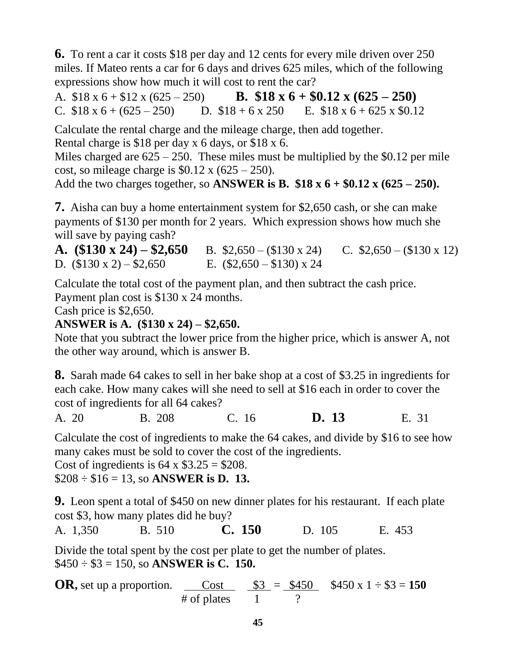**6.** To rent a car it costs \$18 per day and 12 cents for every mile driven over 250 miles. If Mateo rents a car for 6 days and drives 625 miles, which of the following expressions show how much it will cost to rent the car?

A. \$18 x 6 + \$12 x (625 – 250) **B. \$18 x 6 + \$0.12 x (625 – 250)** C.  $$18 \times 6 + (625 - 250)$  D.  $$18 + 6 \times 250$  E.  $$18 \times 6 + 625 \times 30.12$ 

Calculate the rental charge and the mileage charge, then add together. Rental charge is \$18 per day x 6 days, or \$18 x 6.

Miles charged are  $625 - 250$ . These miles must be multiplied by the \$0.12 per mile cost, so mileage charge is  $$0.12 \times (625 - 250)$ .

Add the two charges together, so **ANSWER is B. \$18 x 6 + \$0.12 x (625 – 250).**

**7.** Aisha can buy a home entertainment system for \$2,650 cash, or she can make payments of \$130 per month for 2 years. Which expression shows how much she will save by paying cash?

**A.**  $($130 \times 24) - $2,650$  B.  $$2,650 - ($130 \times 24)$  C.  $$2,650 - ($130 \times 12)$ D.  $(\$130 \text{ x } 2) - \$2,650$  E.  $(\$2,650 - \$130) \text{ x } 24$ 

Calculate the total cost of the payment plan, and then subtract the cash price. Payment plan cost is \$130 x 24 months.

Cash price is \$2,650.

#### **ANSWER is A. (\$130 x 24) – \$2,650.**

Note that you subtract the lower price from the higher price, which is answer A, not the other way around, which is answer B.

**8.** Sarah made 64 cakes to sell in her bake shop at a cost of \$3.25 in ingredients for each cake. How many cakes will she need to sell at \$16 each in order to cover the cost of ingredients for all 64 cakes?

A. 20 B. 208 C. 16 **D. 13** E. 31

Calculate the cost of ingredients to make the 64 cakes, and divide by \$16 to see how many cakes must be sold to cover the cost of the ingredients.

Cost of ingredients is  $64 \times $3.25 = $208$ .

\$208 ÷ \$16 = 13, so **ANSWER is D. 13.**

**9.** Leon spent a total of \$450 on new dinner plates for his restaurant. If each plate cost \$3, how many plates did he buy?

A. 1,350 B. 510 **C. 150** D. 105 E. 453

Divide the total spent by the cost per plate to get the number of plates. \$450 ÷ \$3 = 150, so **ANSWER is C. 150.**

**OR**, set up a proportion. Cost  $\$3 = \$450 \ \$450 \ \text{X} 1 \div \$3 = 150$  $#$  of plates  $1$  ?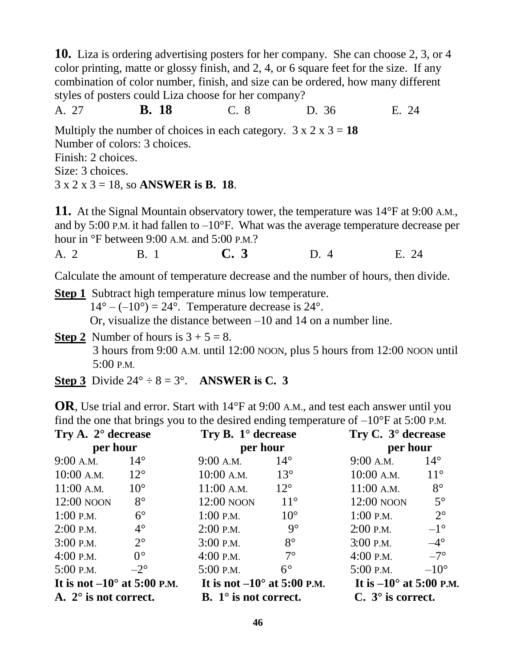**10.** Liza is ordering advertising posters for her company. She can choose 2, 3, or 4 color printing, matte or glossy finish, and 2, 4, or 6 square feet for the size. If any combination of color number, finish, and size can be ordered, how many different styles of posters could Liza choose for her company?

A. 27 **B. 18** C. 8 D. 36 E. 24

Multiply the number of choices in each category.  $3 \times 2 \times 3 = 18$ Number of colors: 3 choices. Finish: 2 choices.

Size: 3 choices.

3 x 2 x 3 = 18, so **ANSWER is B. 18**.

**11.** At the Signal Mountain observatory tower, the temperature was 14°F at 9:00 A.M., and by 5:00 P.M. it had fallen to  $-10^{\circ}$ F. What was the average temperature decrease per hour in °F between 9:00 A.M. and 5:00 P.M.?

A. 2 B. 1 **C. 3** D. 4 E. 24

Calculate the amount of temperature decrease and the number of hours, then divide.

**Step 1** Subtract high temperature minus low temperature.  $14^{\circ} - (-10^{\circ}) = 24^{\circ}$ . Temperature decrease is  $24^{\circ}$ . Or, visualize the distance between –10 and 14 on a number line.

**Step 2** Number of hours is  $3 + 5 = 8$ . 3 hours from 9:00 A.M. until 12:00 NOON, plus 5 hours from 12:00 NOON until 5:00 P.M.

**Step 3** Divide  $24^{\circ} \div 8 = 3^{\circ}$ . **ANSWER is C. 3** 

**OR**, Use trial and error. Start with 14°F at 9:00 A.M., and test each answer until you find the one that brings you to the desired ending temperature of  $-10^{\circ}$ F at 5:00 P.M.

| Try A. 2° decrease<br>per hour       |              | Try B. $1^{\circ}$ decrease<br>per hour |              | Try C. 3° decrease<br>per hour   |               |
|--------------------------------------|--------------|-----------------------------------------|--------------|----------------------------------|---------------|
|                                      |              |                                         |              |                                  |               |
| $10:00$ A.M.                         | $12^{\circ}$ | $10:00$ A.M.                            | $13^{\circ}$ | $10:00$ A.M.                     | $11^{\circ}$  |
| $11:00$ A.M.                         | $10^{\circ}$ | $11:00$ A.M.                            | $12^{\circ}$ | $11:00$ A.M.                     | $8^{\circ}$   |
| $12:00$ NOON                         | $8^{\circ}$  | 12:00 NOON                              | $11^{\circ}$ | 12:00 NOON                       | $5^\circ$     |
| $1:00$ P.M.                          | $6^{\circ}$  | $1:00$ P.M.                             | $10^{\circ}$ | $1:00$ P.M.                      | $2^{\circ}$   |
| $2:00$ P.M.                          | $4^\circ$    | $2:00$ P.M.                             | $9^\circ$    | $2:00$ P.M.                      | $-1^{\circ}$  |
| $3:00$ P.M.                          | $2^{\circ}$  | $3:00$ P.M.                             | $8^{\circ}$  | $3:00$ P.M.                      | $-4^\circ$    |
| $4:00$ P.M.                          | $0^{\circ}$  | $4:00$ P.M.                             | $7^\circ$    | $4:00$ P.M.                      | $-7^\circ$    |
| $5:00$ P.M.                          | $-2^{\circ}$ | $5:00$ P.M.                             | $6^\circ$    | $5:00$ P.M.                      | $-10^{\circ}$ |
| It is not $-10^{\circ}$ at 5:00 P.M. |              | It is not $-10^{\circ}$ at 5:00 P.M.    |              | It is $-10^{\circ}$ at 5:00 P.M. |               |
| A. $2^{\circ}$ is not correct.       |              | <b>B.</b> $1^{\circ}$ is not correct.   |              | $C. 3^{\circ}$ is correct.       |               |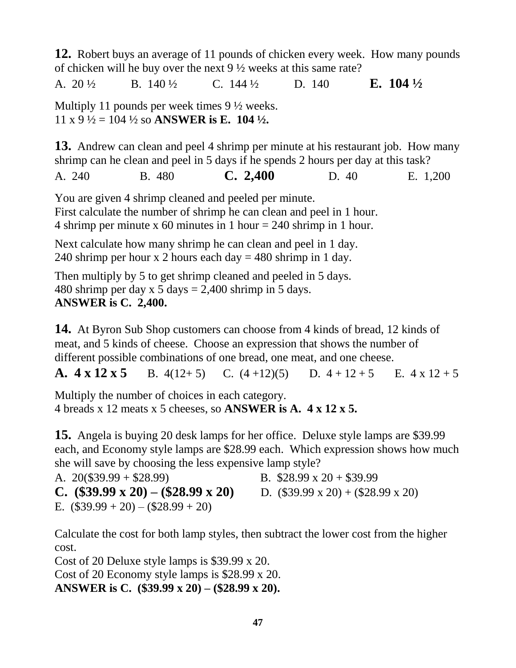**12.** Robert buys an average of 11 pounds of chicken every week. How many pounds of chicken will he buy over the next 9 ½ weeks at this same rate? A. 20 ½ B. 140 ½ C. 144 ½ D. 140 **E. 104 ½** Multiply 11 pounds per week times 9 ½ weeks.

 $11 \times 9 \frac{1}{2} = 104 \frac{1}{2}$  so **ANSWER** is E. 104 $\frac{1}{2}$ .

**13.** Andrew can clean and peel 4 shrimp per minute at his restaurant job. How many shrimp can he clean and peel in 5 days if he spends 2 hours per day at this task?

A. 240 B. 480 **C. 2,400** D. 40 E. 1,200

You are given 4 shrimp cleaned and peeled per minute. First calculate the number of shrimp he can clean and peel in 1 hour. 4 shrimp per minute x 60 minutes in 1 hour = 240 shrimp in 1 hour.

Next calculate how many shrimp he can clean and peel in 1 day. 240 shrimp per hour x 2 hours each day  $=$  480 shrimp in 1 day.

Then multiply by 5 to get shrimp cleaned and peeled in 5 days. 480 shrimp per day x 5 days  $= 2,400$  shrimp in 5 days. **ANSWER is C. 2,400.**

**14.** At Byron Sub Shop customers can choose from 4 kinds of bread, 12 kinds of meat, and 5 kinds of cheese. Choose an expression that shows the number of different possible combinations of one bread, one meat, and one cheese.

**A.**  $4 \times 12 \times 5$  B.  $4(12+5)$  C.  $(4+12)(5)$  D.  $4+12+5$  E.  $4 \times 12+5$ 

Multiply the number of choices in each category. 4 breads x 12 meats x 5 cheeses, so **ANSWER is A. 4 x 12 x 5.** 

**15.** Angela is buying 20 desk lamps for her office. Deluxe style lamps are \$39.99 each, and Economy style lamps are \$28.99 each. Which expression shows how much she will save by choosing the less expensive lamp style?

A.  $20(\$39.99 + \$28.99)$  B.  $\$28.99 \times 20 + \$39.99$ **C.**  $(\$39.99 \times 20) - (\$28.99 \times 20)$  D.  $(\$39.99 \times 20) + (\$28.99 \times 20)$ E.  $(\$39.99 + 20) - (\$28.99 + 20)$ 

Calculate the cost for both lamp styles, then subtract the lower cost from the higher cost.

Cost of 20 Deluxe style lamps is \$39.99 x 20. Cost of 20 Economy style lamps is \$28.99 x 20. **ANSWER is C. (\$39.99 x 20) – (\$28.99 x 20).**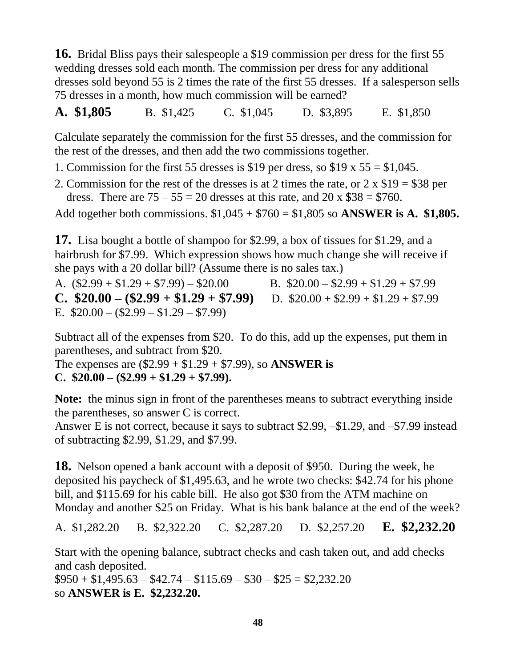**16.** Bridal Bliss pays their salespeople a \$19 commission per dress for the first 55 wedding dresses sold each month. The commission per dress for any additional dresses sold beyond 55 is 2 times the rate of the first 55 dresses. If a salesperson sells 75 dresses in a month, how much commission will be earned?

**A. \$1,805** B. \$1,425 C. \$1,045 D. \$3,895 E. \$1,850

Calculate separately the commission for the first 55 dresses, and the commission for the rest of the dresses, and then add the two commissions together.

- 1. Commission for the first 55 dresses is \$19 per dress, so \$19 x  $55 = $1,045$ .
- 2. Commission for the rest of the dresses is at 2 times the rate, or 2 x \$19 = \$38 per dress. There are  $75 - 55 = 20$  dresses at this rate, and  $20 \times $38 = $760$ .

Add together both commissions. \$1,045 + \$760 = \$1,805 so **ANSWER is A. \$1,805.**

**17.** Lisa bought a bottle of shampoo for \$2.99, a box of tissues for \$1.29, and a hairbrush for \$7.99. Which expression shows how much change she will receive if she pays with a 20 dollar bill? (Assume there is no sales tax.)

A.  $($2.99 + $1.29 + $7.99) - $20.00$  B.  $$20.00 - $2.99 + $1.29 + $7.99$ **C.**  $$20.00 - ($2.99 + $1.29 + $7.99)$  D.  $$20.00 + $2.99 + $1.29 + $7.99$ E.  $$20.00 - (\$2.99 - \$1.29 - \$7.99)$ 

Subtract all of the expenses from \$20. To do this, add up the expenses, put them in parentheses, and subtract from \$20.

The expenses are (\$2.99 + \$1.29 + \$7.99), so **ANSWER is C. \$20.00 – (\$2.99 + \$1.29 + \$7.99).**

**Note:** the minus sign in front of the parentheses means to subtract everything inside the parentheses, so answer C is correct.

Answer E is not correct, because it says to subtract \$2.99, –\$1.29, and –\$7.99 instead of subtracting \$2.99, \$1.29, and \$7.99.

**18.** Nelson opened a bank account with a deposit of \$950. During the week, he deposited his paycheck of \$1,495.63, and he wrote two checks: \$42.74 for his phone bill, and \$115.69 for his cable bill. He also got \$30 from the ATM machine on Monday and another \$25 on Friday. What is his bank balance at the end of the week?

A. \$1,282.20 B. \$2,322.20 C. \$2,287.20 D. \$2,257.20 **E. \$2,232.20**

Start with the opening balance, subtract checks and cash taken out, and add checks and cash deposited.

 $$950 + $1,495.63 - $42.74 - $115.69 - $30 - $25 = $2,232.20$ so **ANSWER is E. \$2,232.20.**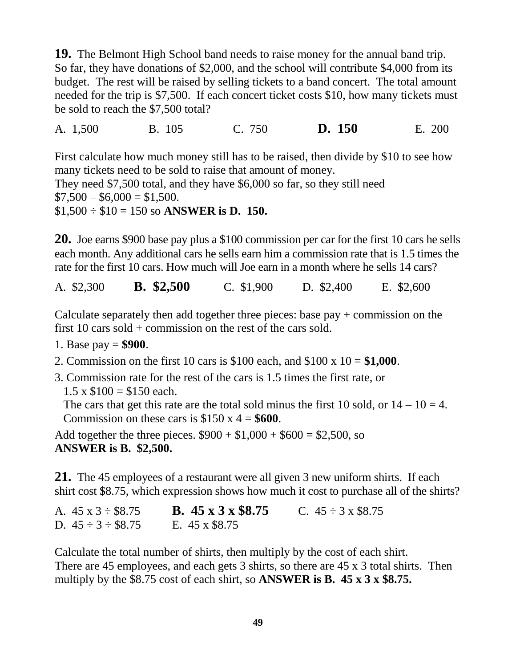**19.** The Belmont High School band needs to raise money for the annual band trip. So far, they have donations of \$2,000, and the school will contribute \$4,000 from its budget. The rest will be raised by selling tickets to a band concert. The total amount needed for the trip is \$7,500. If each concert ticket costs \$10, how many tickets must be sold to reach the \$7,500 total?

A. 1,500 B. 105 C. 750 **D. 150** E. 200

First calculate how much money still has to be raised, then divide by \$10 to see how many tickets need to be sold to raise that amount of money. They need \$7,500 total, and they have \$6,000 so far, so they still need  $$7,500 - $6,000 = $1,500.$ \$1,500 ÷ \$10 = 150 so **ANSWER is D. 150.**

**20.** Joe earns \$900 base pay plus a \$100 commission per car for the first 10 cars he sells each month. Any additional cars he sells earn him a commission rate that is 1.5 times the rate for the first 10 cars. How much will Joe earn in a month where he sells 14 cars?

A. \$2,300 **B. \$2,500** C. \$1,900 D. \$2,400 E. \$2,600

Calculate separately then add together three pieces: base pay + commission on the first 10 cars sold + commission on the rest of the cars sold.

- 1. Base pay = **\$900**.
- 2. Commission on the first 10 cars is \$100 each, and \$100 x 10 = **\$1,000**.
- 3. Commission rate for the rest of the cars is 1.5 times the first rate, or  $1.5 \times \$100 = \$150$  each.

The cars that get this rate are the total sold minus the first 10 sold, or  $14 - 10 = 4$ . Commission on these cars is  $$150 \times 4 = $600$ .

Add together the three pieces.  $$900 + $1,000 + $600 = $2,500$ , so **ANSWER is B. \$2,500.**

**21.** The 45 employees of a restaurant were all given 3 new uniform shirts. If each shirt cost \$8.75, which expression shows how much it cost to purchase all of the shirts?

A.  $45 \times 3 \div \$8.75$  **B.**  $45 \times 3 \times \$8.75$  C.  $45 \div 3 \times \$8.75$ D.  $45 \div 3 \div $8.75$  E.  $45 \times $8.75$ 

Calculate the total number of shirts, then multiply by the cost of each shirt. There are 45 employees, and each gets 3 shirts, so there are 45 x 3 total shirts. Then multiply by the \$8.75 cost of each shirt, so **ANSWER is B. 45 x 3 x \$8.75.**